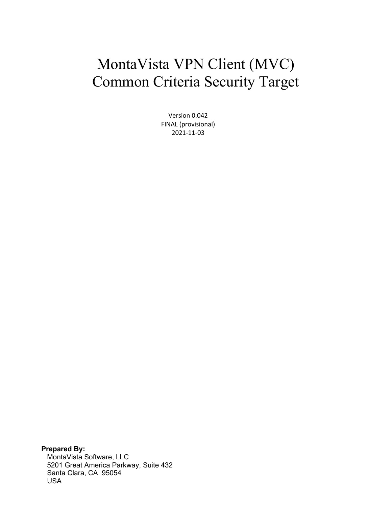# MontaVista VPN Client (MVC) Common Criteria Security Target

Version 0.042 FINAL (provisional) 2021-11-03

**Prepared By:** MontaVista Software, LLC 5201 Great America Parkway, Suite 432 Santa Clara, CA 95054 USA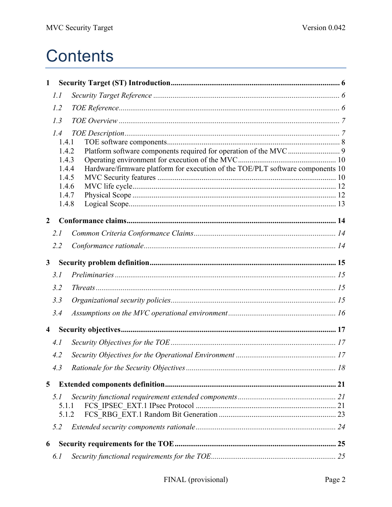# **Contents**

| $\mathbf{1}$   |                |                                                                                |  |
|----------------|----------------|--------------------------------------------------------------------------------|--|
|                | 1.1            |                                                                                |  |
|                | 1.2            |                                                                                |  |
|                | 1.3            |                                                                                |  |
|                | 1.4            |                                                                                |  |
|                | 1.4.1          |                                                                                |  |
|                | 1.4.2          |                                                                                |  |
|                | 1.4.3          |                                                                                |  |
|                | 1.4.4          | Hardware/firmware platform for execution of the TOE/PLT software components 10 |  |
|                | 1.4.5          |                                                                                |  |
|                | 1.4.6<br>1.4.7 |                                                                                |  |
|                | 1.4.8          |                                                                                |  |
|                |                |                                                                                |  |
| $\overline{2}$ |                |                                                                                |  |
|                | 2.1            |                                                                                |  |
|                | 2.2            |                                                                                |  |
| $\mathbf{3}$   |                |                                                                                |  |
|                | 3.1            |                                                                                |  |
|                | 3.2            |                                                                                |  |
|                | 3.3            |                                                                                |  |
|                | 3.4            |                                                                                |  |
| $\overline{4}$ |                |                                                                                |  |
|                | 4.1            |                                                                                |  |
|                | 4.2            |                                                                                |  |
|                | 4.3            |                                                                                |  |
| 5              |                |                                                                                |  |
|                | 5.1            |                                                                                |  |
|                | 5.1.1          |                                                                                |  |
|                | 5.1.2          |                                                                                |  |
|                | 5.2            |                                                                                |  |
| 6              |                |                                                                                |  |
|                | 6.1            |                                                                                |  |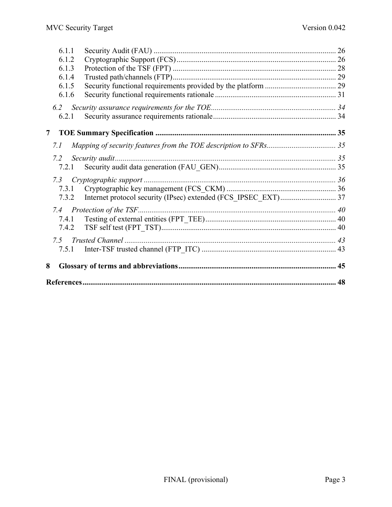| 6.1.1 |  |
|-------|--|
| 6.1.2 |  |
| 6.1.3 |  |
| 6.1.4 |  |
| 6.1.5 |  |
| 6.1.6 |  |
| 6.2   |  |
| 6.2.1 |  |
| 7     |  |
| 7.1   |  |
| 7.2   |  |
| 7.2.1 |  |
| 7.3   |  |
| 7.3.1 |  |
| 7.3.2 |  |
| 7.4   |  |
| 7.4.1 |  |
| 7.4.2 |  |
| 7.5   |  |
| 7.5.1 |  |
| 8     |  |
|       |  |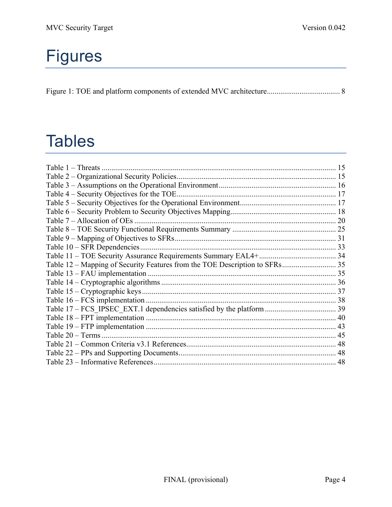# Figures

# **Tables**

| Table 12 – Mapping of Security Features from the TOE Description to SFRs 35 |  |
|-----------------------------------------------------------------------------|--|
|                                                                             |  |
|                                                                             |  |
|                                                                             |  |
|                                                                             |  |
|                                                                             |  |
|                                                                             |  |
|                                                                             |  |
|                                                                             |  |
|                                                                             |  |
|                                                                             |  |
|                                                                             |  |
|                                                                             |  |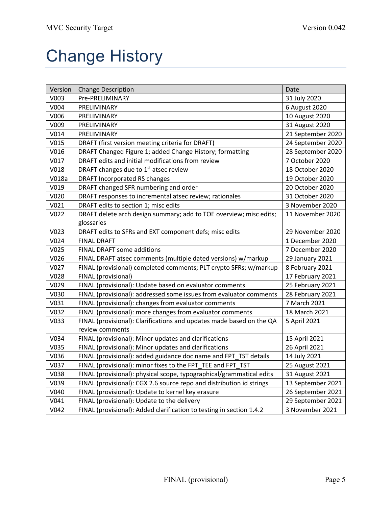# Change History

| Version          | <b>Change Description</b>                                            | Date              |
|------------------|----------------------------------------------------------------------|-------------------|
| V003             | Pre-PRELIMINARY                                                      | 31 July 2020      |
| V004             | PRELIMINARY                                                          | 6 August 2020     |
| V006             | PRELIMINARY                                                          | 10 August 2020    |
| V009             | PRELIMINARY                                                          | 31 August 2020    |
| V <sub>014</sub> | PRELIMINARY                                                          | 21 September 2020 |
| V015             | DRAFT (first version meeting criteria for DRAFT)                     | 24 September 2020 |
| V016             | DRAFT Changed Figure 1; added Change History; formatting             | 28 September 2020 |
| V017             | DRAFT edits and initial modifications from review                    | 7 October 2020    |
| V018             | DRAFT changes due to 1 <sup>st</sup> atsec review                    | 18 October 2020   |
| V018a            | <b>DRAFT Incorporated RS changes</b>                                 | 19 October 2020   |
| V019             | DRAFT changed SFR numbering and order                                | 20 October 2020   |
| V020             | DRAFT responses to incremental atsec review; rationales              | 31 October 2020   |
| V <sub>021</sub> | DRAFT edits to section 1; misc edits                                 | 3 November 2020   |
| V022             | DRAFT delete arch design summary; add to TOE overview; misc edits;   | 11 November 2020  |
|                  | glossaries                                                           |                   |
| V023             | DRAFT edits to SFRs and EXT component defs; misc edits               | 29 November 2020  |
| V024             | <b>FINAL DRAFT</b>                                                   | 1 December 2020   |
| V <sub>025</sub> | <b>FINAL DRAFT some additions</b>                                    | 7 December 2020   |
| V026             | FINAL DRAFT atsec comments (multiple dated versions) w/markup        | 29 January 2021   |
| V027             | FINAL (provisional) completed comments; PLT crypto SFRs; w/markup    | 8 February 2021   |
| V028             | FINAL (provisional)                                                  | 17 February 2021  |
| V029             | FINAL (provisional): Update based on evaluator comments              | 25 February 2021  |
| V030             | FINAL (provisional): addressed some issues from evaluator comments   | 28 February 2021  |
| V031             | FINAL (provisional): changes from evaluator comments                 | 7 March 2021      |
| V032             | FINAL (provisional): more changes from evaluator comments            | 18 March 2021     |
| V033             | FINAL (provisional): Clarifications and updates made based on the QA | 5 April 2021      |
|                  | review comments                                                      |                   |
| V034             | FINAL (provisional): Minor updates and clarifications                | 15 April 2021     |
| V035             | FINAL (provisional): Minor updates and clarifications                | 26 April 2021     |
| V036             | FINAL (provisional): added guidance doc name and FPT_TST details     | 14 July 2021      |
| V037             | FINAL (provisional): minor fixes to the FPT_TEE and FPT_TST          | 25 August 2021    |
| V038             | FINAL (provisional): physical scope, typographical/grammatical edits | 31 August 2021    |
| V039             | FINAL (provisional): CGX 2.6 source repo and distribution id strings | 13 September 2021 |
| V040             | FINAL (provisional): Update to kernel key erasure                    | 26 September 2021 |
| V041             | FINAL (provisional): Update to the delivery                          | 29 September 2021 |
| V042             | FINAL (provisional): Added clarification to testing in section 1.4.2 | 3 November 2021   |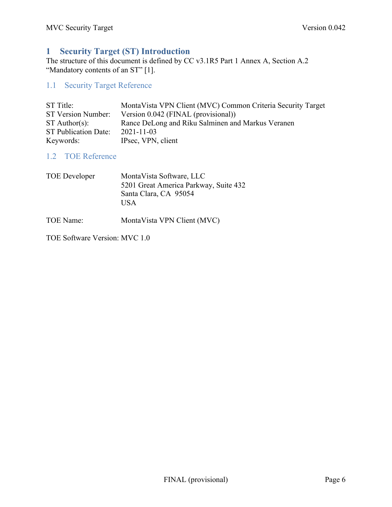# **1 Security Target (ST) Introduction**

The structure of this document is defined by CC v3.1R5 Part 1 Annex A, Section A.2 "Mandatory contents of an ST" [1].

# 1.1 Security Target Reference

| ST Title:            | Monta Vista VPN Client (MVC) Common Criteria Security Target |
|----------------------|--------------------------------------------------------------|
| ST Version Number:   | Version 0.042 (FINAL (provisional))                          |
| $ST$ Author(s):      | Rance DeLong and Riku Salminen and Markus Veranen            |
| ST Publication Date: | $2021 - 11 - 03$                                             |
| Keywords:            | IPsec, VPN, client                                           |

# 1.2 TOE Reference

| TOE Developer | MontaVista Software, LLC              |
|---------------|---------------------------------------|
|               | 5201 Great America Parkway, Suite 432 |
|               | Santa Clara, CA 95054                 |
|               | USA                                   |
|               |                                       |

TOE Name: MontaVista VPN Client (MVC)

TOE Software Version: MVC 1.0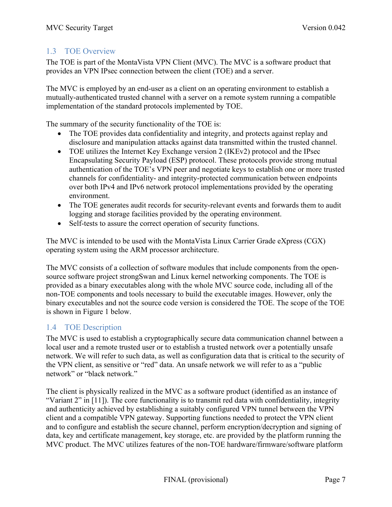## 1.3 TOE Overview

The TOE is part of the MontaVista VPN Client (MVC). The MVC is a software product that provides an VPN IPsec connection between the client (TOE) and a server.

The MVC is employed by an end-user as a client on an operating environment to establish a mutually-authenticated trusted channel with a server on a remote system running a compatible implementation of the standard protocols implemented by TOE.

The summary of the security functionality of the TOE is:

- The TOE provides data confidentiality and integrity, and protects against replay and disclosure and manipulation attacks against data transmitted within the trusted channel.
- TOE utilizes the Internet Key Exchange version 2 (IKEv2) protocol and the IPsec Encapsulating Security Payload (ESP) protocol. These protocols provide strong mutual authentication of the TOE's VPN peer and negotiate keys to establish one or more trusted channels for confidentiality- and integrity-protected communication between endpoints over both IPv4 and IPv6 network protocol implementations provided by the operating environment.
- The TOE generates audit records for security-relevant events and forwards them to audit logging and storage facilities provided by the operating environment.
- Self-tests to assure the correct operation of security functions.

The MVC is intended to be used with the MontaVista Linux Carrier Grade eXpress (CGX) operating system using the ARM processor architecture.

The MVC consists of a collection of software modules that include components from the opensource software project strongSwan and Linux kernel networking components. The TOE is provided as a binary executables along with the whole MVC source code, including all of the non-TOE components and tools necessary to build the executable images. However, only the binary executables and not the source code version is considered the TOE. The scope of the TOE is shown in Figure 1 below.

## 1.4 TOE Description

The MVC is used to establish a cryptographically secure data communication channel between a local user and a remote trusted user or to establish a trusted network over a potentially unsafe network. We will refer to such data, as well as configuration data that is critical to the security of the VPN client, as sensitive or "red" data. An unsafe network we will refer to as a "public network" or "black network."

The client is physically realized in the MVC as a software product (identified as an instance of "Variant 2" in [11]). The core functionality is to transmit red data with confidentiality, integrity and authenticity achieved by establishing a suitably configured VPN tunnel between the VPN client and a compatible VPN gateway. Supporting functions needed to protect the VPN client and to configure and establish the secure channel, perform encryption/decryption and signing of data, key and certificate management, key storage, etc. are provided by the platform running the MVC product. The MVC utilizes features of the non-TOE hardware/firmware/software platform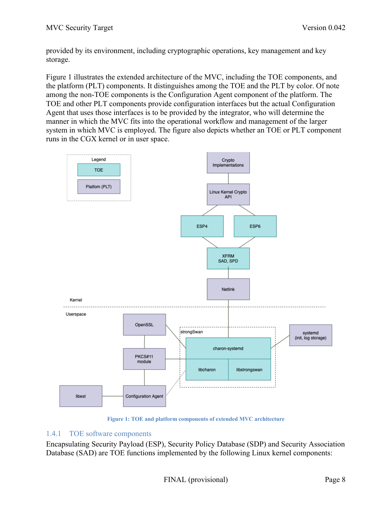provided by its environment, including cryptographic operations, key management and key storage.

Figure 1 illustrates the extended architecture of the MVC, including the TOE components, and the platform (PLT) components. It distinguishes among the TOE and the PLT by color. Of note among the non-TOE components is the Configuration Agent component of the platform. The TOE and other PLT components provide configuration interfaces but the actual Configuration Agent that uses those interfaces is to be provided by the integrator, who will determine the manner in which the MVC fits into the operational workflow and management of the larger system in which MVC is employed. The figure also depicts whether an TOE or PLT component runs in the CGX kernel or in user space.



**Figure 1: TOE and platform components of extended MVC architecture**

## 1.4.1 TOE software components

Encapsulating Security Payload (ESP), Security Policy Database (SDP) and Security Association Database (SAD) are TOE functions implemented by the following Linux kernel components: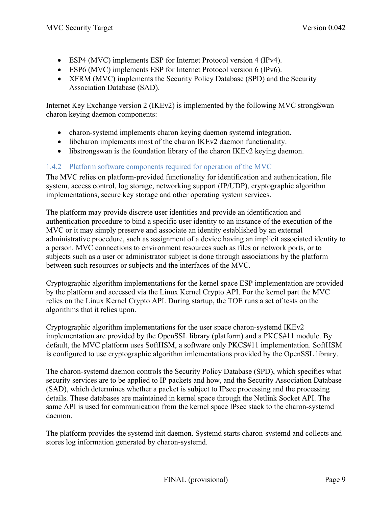- ESP4 (MVC) implements ESP for Internet Protocol version 4 (IPv4).
- ESP6 (MVC) implements ESP for Internet Protocol version 6 (IPv6).
- XFRM (MVC) implements the Security Policy Database (SPD) and the Security Association Database (SAD).

Internet Key Exchange version 2 (IKEv2) is implemented by the following MVC strongSwan charon keying daemon components:

- charon-systemd implements charon keying daemon systemd integration.
- libcharon implements most of the charon IKEv2 daemon functionality.
- libstrongswan is the foundation library of the charon IKEv2 keying daemon.

## 1.4.2 Platform software components required for operation of the MVC

The MVC relies on platform-provided functionality for identification and authentication, file system, access control, log storage, networking support (IP/UDP), cryptographic algorithm implementations, secure key storage and other operating system services.

The platform may provide discrete user identities and provide an identification and authentication procedure to bind a specific user identity to an instance of the execution of the MVC or it may simply preserve and associate an identity established by an external administrative procedure, such as assignment of a device having an implicit associated identity to a person. MVC connections to environment resources such as files or network ports, or to subjects such as a user or administrator subject is done through associations by the platform between such resources or subjects and the interfaces of the MVC.

Cryptographic algorithm implementations for the kernel space ESP implementation are provided by the platform and accessed via the Linux Kernel Crypto API. For the kernel part the MVC relies on the Linux Kernel Crypto API. During startup, the TOE runs a set of tests on the algorithms that it relies upon.

Cryptographic algorithm implementations for the user space charon-systemd IKEv2 implementation are provided by the OpenSSL library (platform) and a PKCS#11 module. By default, the MVC platform uses SoftHSM, a software only PKCS#11 implementation. SoftHSM is configured to use cryptographic algorithm imlementations provided by the OpenSSL library.

The charon-systemd daemon controls the Security Policy Database (SPD), which specifies what security services are to be applied to IP packets and how, and the Security Association Database (SAD), which determines whether a packet is subject to IPsec processing and the processing details. These databases are maintained in kernel space through the Netlink Socket API. The same API is used for communication from the kernel space IPsec stack to the charon-systemd daemon.

The platform provides the systemd init daemon. Systemd starts charon-systemd and collects and stores log information generated by charon-systemd.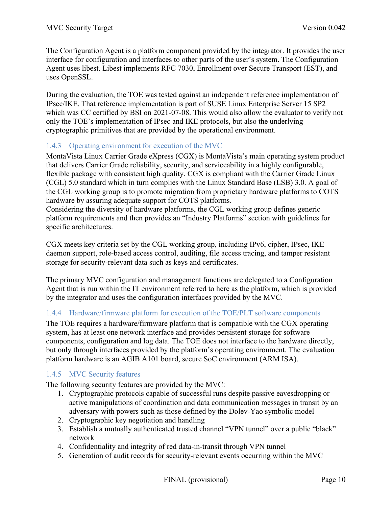The Configuration Agent is a platform component provided by the integrator. It provides the user interface for configuration and interfaces to other parts of the user's system. The Configuration Agent uses libest. Libest implements RFC 7030, Enrollment over Secure Transport (EST), and uses OpenSSL.

During the evaluation, the TOE was tested against an independent reference implementation of IPsec/IKE. That reference implementation is part of SUSE Linux Enterprise Server 15 SP2 which was CC certified by BSI on 2021-07-08. This would also allow the evaluator to verify not only the TOE's implementation of IPsec and IKE protocols, but also the underlying cryptographic primitives that are provided by the operational environment.

## 1.4.3 Operating environment for execution of the MVC

MontaVista Linux Carrier Grade eXpress (CGX) is MontaVista's main operating system product that delivers Carrier Grade reliability, security, and serviceability in a highly configurable, flexible package with consistent high quality. CGX is compliant with the Carrier Grade Linux (CGL) 5.0 standard which in turn complies with the Linux Standard Base (LSB) 3.0. A goal of the CGL working group is to promote migration from proprietary hardware platforms to COTS hardware by assuring adequate support for COTS platforms.

Considering the diversity of hardware platforms, the CGL working group defines generic platform requirements and then provides an "Industry Platforms" section with guidelines for specific architectures.

CGX meets key criteria set by the CGL working group, including IPv6, cipher, IPsec, IKE daemon support, role-based access control, auditing, file access tracing, and tamper resistant storage for security-relevant data such as keys and certificates.

The primary MVC configuration and management functions are delegated to a Configuration Agent that is run within the IT environment referred to here as the platform, which is provided by the integrator and uses the configuration interfaces provided by the MVC.

## 1.4.4 Hardware/firmware platform for execution of the TOE/PLT software components

The TOE requires a hardware/firmware platform that is compatible with the CGX operating system, has at least one network interface and provides persistent storage for software components, configuration and log data. The TOE does not interface to the hardware directly, but only through interfaces provided by the platform's operating environment. The evaluation platform hardware is an AGIB A101 board, secure SoC environment (ARM ISA).

## 1.4.5 MVC Security features

The following security features are provided by the MVC:

- 1. Cryptographic protocols capable of successful runs despite passive eavesdropping or active manipulations of coordination and data communication messages in transit by an adversary with powers such as those defined by the Dolev-Yao symbolic model
- 2. Cryptographic key negotiation and handling
- 3. Establish a mutually authenticated trusted channel "VPN tunnel" over a public "black" network
- 4. Confidentiality and integrity of red data-in-transit through VPN tunnel
- 5. Generation of audit records for security-relevant events occurring within the MVC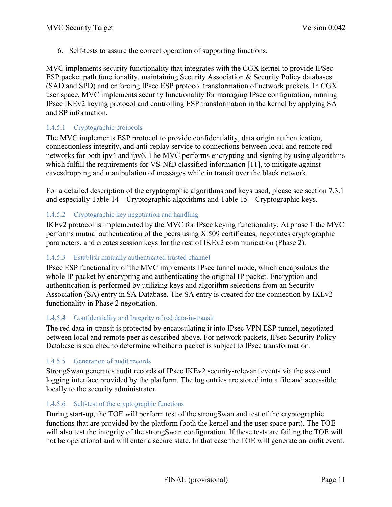6. Self-tests to assure the correct operation of supporting functions.

MVC implements security functionality that integrates with the CGX kernel to provide IPSec ESP packet path functionality, maintaining Security Association & Security Policy databases (SAD and SPD) and enforcing IPsec ESP protocol transformation of network packets. In CGX user space, MVC implements security functionality for managing IPsec configuration, running IPsec IKEv2 keying protocol and controlling ESP transformation in the kernel by applying SA and SP information.

## 1.4.5.1 Cryptographic protocols

The MVC implements ESP protocol to provide confidentiality, data origin authentication, connectionless integrity, and anti-replay service to connections between local and remote red networks for both ipv4 and ipv6. The MVC performs encrypting and signing by using algorithms which fulfill the requirements for VS-NfD classified information [11], to mitigate against eavesdropping and manipulation of messages while in transit over the black network.

For a detailed description of the cryptographic algorithms and keys used, please see section 7.3.1 and especially Table 14 – Cryptographic algorithms and Table 15 – Cryptographic keys.

## 1.4.5.2 Cryptographic key negotiation and handling

IKEv2 protocol is implemented by the MVC for IPsec keying functionality. At phase 1 the MVC performs mutual authentication of the peers using X.509 certificates, negotiates cryptographic parameters, and creates session keys for the rest of IKEv2 communication (Phase 2).

## 1.4.5.3 Establish mutually authenticated trusted channel

IPsec ESP functionality of the MVC implements IPsec tunnel mode, which encapsulates the whole IP packet by encrypting and authenticating the original IP packet. Encryption and authentication is performed by utilizing keys and algorithm selections from an Security Association (SA) entry in SA Database. The SA entry is created for the connection by IKEv2 functionality in Phase 2 negotiation.

## 1.4.5.4 Confidentiality and Integrity of red data-in-transit

The red data in-transit is protected by encapsulating it into IPsec VPN ESP tunnel, negotiated between local and remote peer as described above. For network packets, IPsec Security Policy Database is searched to determine whether a packet is subject to IPsec transformation.

## 1.4.5.5 Generation of audit records

StrongSwan generates audit records of IPsec IKEv2 security-relevant events via the systemd logging interface provided by the platform. The log entries are stored into a file and accessible locally to the security administrator.

#### 1.4.5.6 Self-test of the cryptographic functions

During start-up, the TOE will perform test of the strongSwan and test of the cryptographic functions that are provided by the platform (both the kernel and the user space part). The TOE will also test the integrity of the strongSwan configuration. If these tests are failing the TOE will not be operational and will enter a secure state. In that case the TOE will generate an audit event.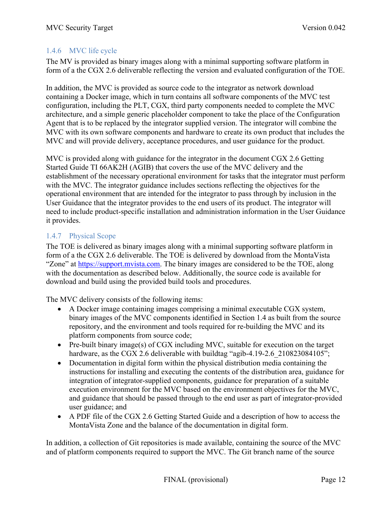## 1.4.6 MVC life cycle

The MV is provided as binary images along with a minimal supporting software platform in form of a the CGX 2.6 deliverable reflecting the version and evaluated configuration of the TOE.

In addition, the MVC is provided as source code to the integrator as network download containing a Docker image, which in turn contains all software components of the MVC test configuration, including the PLT, CGX, third party components needed to complete the MVC architecture, and a simple generic placeholder component to take the place of the Configuration Agent that is to be replaced by the integrator supplied version. The integrator will combine the MVC with its own software components and hardware to create its own product that includes the MVC and will provide delivery, acceptance procedures, and user guidance for the product.

MVC is provided along with guidance for the integrator in the document CGX 2.6 Getting Started Guide TI 66AK2H (AGIB) that covers the use of the MVC delivery and the establishment of the necessary operational environment for tasks that the integrator must perform with the MVC. The integrator guidance includes sections reflecting the objectives for the operational environment that are intended for the integrator to pass through by inclusion in the User Guidance that the integrator provides to the end users of its product. The integrator will need to include product-specific installation and administration information in the User Guidance it provides.

## 1.4.7 Physical Scope

The TOE is delivered as binary images along with a minimal supporting software platform in form of a the CGX 2.6 deliverable. The TOE is delivered by download from the MontaVista "Zone" at https://support.mvista.com. The binary images are considered to be the TOE, along with the documentation as described below. Additionally, the source code is available for download and build using the provided build tools and procedures.

The MVC delivery consists of the following items:

- A Docker image containing images comprising a minimal executable CGX system, binary images of the MVC components identified in Section 1.4 as built from the source repository, and the environment and tools required for re-building the MVC and its platform components from source code;
- Pre-built binary image(s) of CGX including MVC, suitable for execution on the target hardware, as the CGX 2.6 deliverable with buildtag "agib-4.19-2.6 210823084105";
- Documentation in digital form within the physical distribution media containing the instructions for installing and executing the contents of the distribution area, guidance for integration of integrator-supplied components, guidance for preparation of a suitable execution environment for the MVC based on the environment objectives for the MVC, and guidance that should be passed through to the end user as part of integrator-provided user guidance; and
- A PDF file of the CGX 2.6 Getting Started Guide and a description of how to access the MontaVista Zone and the balance of the documentation in digital form.

In addition, a collection of Git repositories is made available, containing the source of the MVC and of platform components required to support the MVC. The Git branch name of the source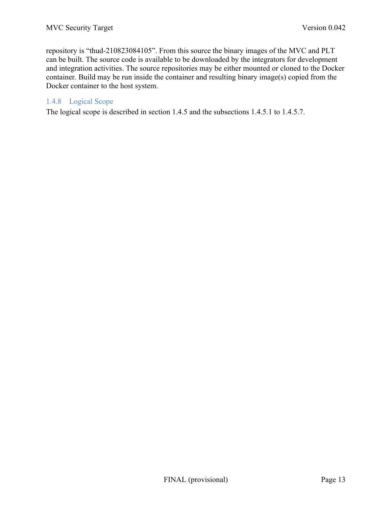repository is "thud-210823084105". From this source the binary images of the MVC and PLT can be built. The source code is available to be downloaded by the integrators for development and integration activities. The source repositories may be either mounted or cloned to the Docker container. Build may be run inside the container and resulting binary image(s) copied from the Docker container to the host system.

## 1.4.8 Logical Scope

The logical scope is described in section 1.4.5 and the subsections 1.4.5.1 to 1.4.5.7.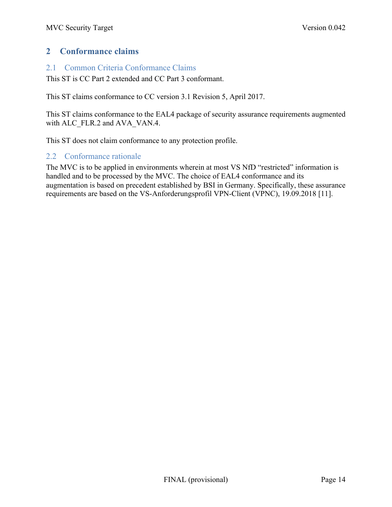## **2 Conformance claims**

## 2.1 Common Criteria Conformance Claims

This ST is CC Part 2 extended and CC Part 3 conformant.

This ST claims conformance to CC version 3.1 Revision 5, April 2017.

This ST claims conformance to the EAL4 package of security assurance requirements augmented with ALC\_FLR.2 and AVA\_VAN.4.

This ST does not claim conformance to any protection profile.

## 2.2 Conformance rationale

The MVC is to be applied in environments wherein at most VS NfD "restricted" information is handled and to be processed by the MVC. The choice of EAL4 conformance and its augmentation is based on precedent established by BSI in Germany. Specifically, these assurance requirements are based on the VS-Anforderungsprofil VPN-Client (VPNC), 19.09.2018 [11].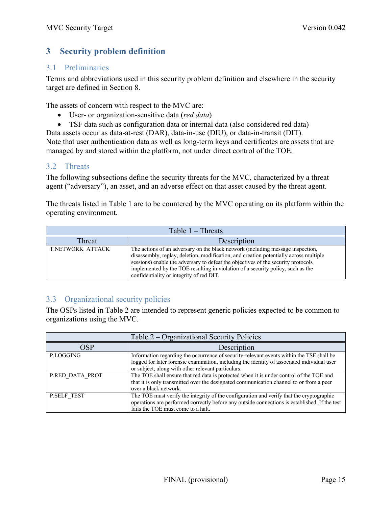# **3 Security problem definition**

## 3.1 Preliminaries

Terms and abbreviations used in this security problem definition and elsewhere in the security target are defined in Section 8.

The assets of concern with respect to the MVC are:

- User- or organization-sensitive data (*red data*)
- TSF data such as configuration data or internal data (also considered red data)

Data assets occur as data-at-rest (DAR), data-in-use (DIU), or data-in-transit (DIT). Note that user authentication data as well as long-term keys and certificates are assets that are managed by and stored within the platform, not under direct control of the TOE.

## 3.2 Threats

The following subsections define the security threats for the MVC, characterized by a threat agent ("adversary"), an asset, and an adverse effect on that asset caused by the threat agent.

The threats listed in Table 1 are to be countered by the MVC operating on its platform within the operating environment.

| Table $1 -$ Threats |                                                                                                                                                                                                                                                                                                                                                                                              |  |
|---------------------|----------------------------------------------------------------------------------------------------------------------------------------------------------------------------------------------------------------------------------------------------------------------------------------------------------------------------------------------------------------------------------------------|--|
| Threat              | Description                                                                                                                                                                                                                                                                                                                                                                                  |  |
| T.NETWORK ATTACK    | The actions of an adversary on the black network (including message inspection,<br>disassembly, replay, deletion, modification, and creation potentially across multiple<br>sessions) enable the adversary to defeat the objectives of the security protocols<br>implemented by the TOE resulting in violation of a security policy, such as the<br>confidentiality or integrity of red DIT. |  |

## 3.3 Organizational security policies

The OSPs listed in Table 2 are intended to represent generic policies expected to be common to organizations using the MVC.

| Table 2 – Organizational Security Policies |                                                                                                                                                                                                                                               |  |
|--------------------------------------------|-----------------------------------------------------------------------------------------------------------------------------------------------------------------------------------------------------------------------------------------------|--|
| Description<br><b>OSP</b>                  |                                                                                                                                                                                                                                               |  |
| P.LOGGING                                  | Information regarding the occurrence of security-relevant events within the TSF shall be<br>logged for later forensic examination, including the identity of associated individual user<br>or subject, along with other relevant particulars. |  |
| P.RED DATA PROT                            | The TOE shall ensure that red data is protected when it is under control of the TOE and<br>that it is only transmitted over the designated communication channel to or from a peer<br>over a black network.                                   |  |
| P.SELF TEST                                | The TOE must verify the integrity of the configuration and verify that the cryptographic<br>operations are performed correctly before any outside connections is established. If the test<br>fails the TOE must come to a halt.               |  |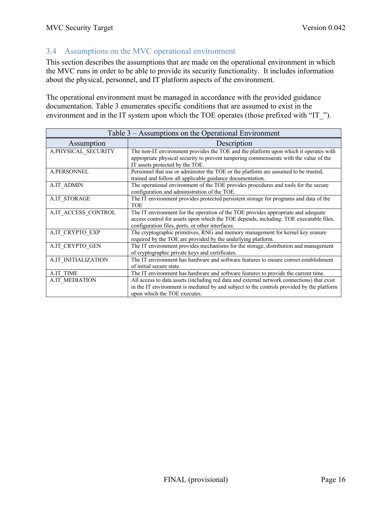## 3.4 Assumptions on the MVC operational environment

This section describes the assumptions that are made on the operational environment in which the MVC runs in order to be able to provide its security functionality. It includes information about the physical, personnel, and IT platform aspects of the environment.

The operational environment must be managed in accordance with the provided guidance documentation. Table 3 enumerates specific conditions that are assumed to exist in the environment and in the IT system upon which the TOE operates (those prefixed with "IT\_").

| Table 3 – Assumptions on the Operational Environment |                                                                                                                                                                                                                                 |  |
|------------------------------------------------------|---------------------------------------------------------------------------------------------------------------------------------------------------------------------------------------------------------------------------------|--|
| Assumption                                           | Description                                                                                                                                                                                                                     |  |
| A.PHYSICAL_SECURITY                                  | The non-IT environment provides the TOE and the platform upon which it operates with<br>appropriate physical security to prevent tampering commensurate with the value of the<br>IT assets protected by the TOE.                |  |
| <b>A.PERSONNEL</b>                                   | Personnel that use or administer the TOE or the platform are assumed to be trusted,<br>trained and follow all applicable guidance documentation.                                                                                |  |
| <b>A.IT ADMIN</b>                                    | The operational environment of the TOE provides procedures and tools for the secure<br>configuration and administration of the TOE.                                                                                             |  |
| A.IT STORAGE                                         | The IT environment provides protected persistent storage for programs and data of the<br><b>TOE</b>                                                                                                                             |  |
| A.IT ACCESS CONTROL                                  | The IT environment for the operation of the TOE provides appropriate and adequate<br>access control for assets upon which the TOE depends, including: TOE executable files,<br>configuration files, ports, or other interfaces. |  |
| A.IT_CRYPTO_EXP                                      | The cryptographic primitives, RNG and memory management for kernel key erasure<br>required by the TOE are provided by the underlying platform.                                                                                  |  |
| A.IT CRYPTO GEN                                      | The IT environment provides mechanisms for the storage, distribution and management<br>of cryptographic private keys and certificates.                                                                                          |  |
| A.IT INITIALIZATION                                  | The IT environment has hardware and software features to ensure correct establishment<br>of initial secure state.                                                                                                               |  |
| <b>A.IT TIME</b>                                     | The IT environment has hardware and software features to provide the current time.                                                                                                                                              |  |
| <b>A.IT MEDIATION</b>                                | All access to data assets (including red data and external network connections) that exist<br>in the IT environment is mediated by and subject to the controls provided by the platform<br>upon which the TOE executes.         |  |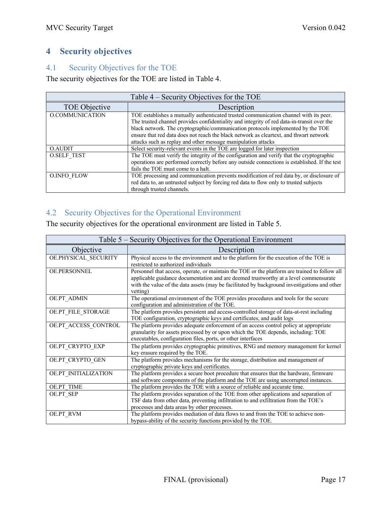# **4 Security objectives**

## 4.1 Security Objectives for the TOE

The security objectives for the TOE are listed in Table 4.

| Table 4 – Security Objectives for the TOE |                                                                                                                                                                                                                                                                                                                                                                                                                                   |  |
|-------------------------------------------|-----------------------------------------------------------------------------------------------------------------------------------------------------------------------------------------------------------------------------------------------------------------------------------------------------------------------------------------------------------------------------------------------------------------------------------|--|
| TOE Objective                             | Description                                                                                                                                                                                                                                                                                                                                                                                                                       |  |
| O.COMMUNICATION                           | TOE establishes a mutually authenticated trusted communication channel with its peer.<br>The trusted channel provides confidentiality and integrity of red data-in-transit over the<br>black network. The cryptographic/communication protocols implemented by the TOE<br>ensure that red data does not reach the black network as cleartext, and thwart network<br>attacks such as replay and other message manipulation attacks |  |
| <b>O.AUDIT</b>                            | Select security-relevant events in the TOE are logged for later inspection                                                                                                                                                                                                                                                                                                                                                        |  |
| <b>O.SELF TEST</b>                        | The TOE must verify the integrity of the configuration and verify that the cryptographic<br>operations are performed correctly before any outside connections is established. If the test<br>fails the TOE must come to a halt.                                                                                                                                                                                                   |  |
| <b>O.INFO FLOW</b>                        | TOE processing and communication prevents modification of red data by, or disclosure of<br>red data to, an untrusted subject by forcing red data to flow only to trusted subjects<br>through trusted channels.                                                                                                                                                                                                                    |  |

# 4.2 Security Objectives for the Operational Environment

The security objectives for the operational environment are listed in Table 5.

| Table 5 – Security Objectives for the Operational Environment |                                                                                                                                                                                                                                                                                                   |  |
|---------------------------------------------------------------|---------------------------------------------------------------------------------------------------------------------------------------------------------------------------------------------------------------------------------------------------------------------------------------------------|--|
| Objective                                                     | Description                                                                                                                                                                                                                                                                                       |  |
| OE.PHYSICAL_SECURITY                                          | Physical access to the environment and to the platform for the execution of the TOE is<br>restricted to authorized individuals                                                                                                                                                                    |  |
| <b>OE.PERSONNEL</b>                                           | Personnel that access, operate, or maintain the TOE or the platform are trained to follow all<br>applicable guidance documentation and are deemed trustworthy at a level commensurate<br>with the value of the data assets (may be facilitated by background investigations and other<br>vetting) |  |
| OE.PT ADMIN                                                   | The operational environment of the TOE provides procedures and tools for the secure<br>configuration and administration of the TOE.                                                                                                                                                               |  |
| OE.PT FILE STORAGE                                            | The platform provides persistent and access-controlled storage of data-at-rest including<br>TOE configuration, cryptographic keys and certificates, and audit logs                                                                                                                                |  |
| OE.PT ACCESS CONTROL                                          | The platform provides adequate enforcement of an access control policy at appropriate<br>granularity for assets processed by or upon which the TOE depends, including: TOE<br>executables, configuration files, ports, or other interfaces                                                        |  |
| OE.PT_CRYPTO_EXP                                              | The platform provides cryptographic primitives, RNG and memory management for kernel<br>key erasure required by the TOE.                                                                                                                                                                          |  |
| OE.PT CRYPTO GEN                                              | The platform provides mechanisms for the storage, distribution and management of<br>cryptographic private keys and certificates.                                                                                                                                                                  |  |
| OE.PT INITIALIZATION                                          | The platform provides a secure boot procedure that ensures that the hardware, firmware<br>and software components of the platform and the TOE are using uncorrupted instances.                                                                                                                    |  |
| <b>OE.PT TIME</b>                                             | The platform provides the TOE with a source of reliable and accurate time.                                                                                                                                                                                                                        |  |
| OE.PT SEP                                                     | The platform provides separation of the TOE from other applications and separation of<br>TSF data from other data, preventing infiltration to and exfiltration from the TOE's<br>processes and data areas by other processes.                                                                     |  |
| OE.PT RVM                                                     | The platform provides mediation of data flows to and from the TOE to achieve non-<br>bypass-ability of the security functions provided by the TOE.                                                                                                                                                |  |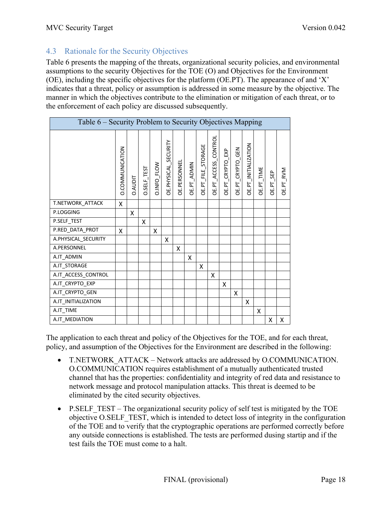## 4.3 Rationale for the Security Objectives

Table 6 presents the mapping of the threats, organizational security policies, and environmental assumptions to the security Objectives for the TOE (O) and Objectives for the Environment (OE), including the specific objectives for the platform (OE.PT). The appearance of and 'X' indicates that a threat, policy or assumption is addressed in some measure by the objective. The manner in which the objectives contribute to the elimination or mitigation of each threat, or to the enforcement of each policy are discussed subsequently.

| Table 6 – Security Problem to Security Objectives Mapping |                 |                |             |                    |                      |              |             |                           |                      |                  |                  |                      |            |           |           |
|-----------------------------------------------------------|-----------------|----------------|-------------|--------------------|----------------------|--------------|-------------|---------------------------|----------------------|------------------|------------------|----------------------|------------|-----------|-----------|
|                                                           | D.COMMUNICATION | <b>D.AUDIT</b> | O.SELF_TEST | <b>D.INFO_FLOW</b> | OE.PHYSICAL_SECURITY | OE.PERSONNEL | OE.PT_ADMIN | <b>DE.PT_FILE_STORAGE</b> | OE.PT_ACCESS_CONTROL | OE.PT_CRYPTO_EXP | OE.PT_CRYPTO_GEN | OE.PT_INITIALIZATION | OE.PT_TIME | OE.PT_SEP | OE.PT_RVM |
| T.NETWORK_ATTACK                                          | X               |                |             |                    |                      |              |             |                           |                      |                  |                  |                      |            |           |           |
| P.LOGGING                                                 |                 | X              |             |                    |                      |              |             |                           |                      |                  |                  |                      |            |           |           |
| P.SELF_TEST                                               |                 |                | X           |                    |                      |              |             |                           |                      |                  |                  |                      |            |           |           |
| P.RED_DATA_PROT                                           | X               |                |             | X                  |                      |              |             |                           |                      |                  |                  |                      |            |           |           |
| A.PHYSICAL_SECURITY                                       |                 |                |             |                    | X                    |              |             |                           |                      |                  |                  |                      |            |           |           |
| A.PERSONNEL                                               |                 |                |             |                    |                      | X            |             |                           |                      |                  |                  |                      |            |           |           |
| A.IT_ADMIN                                                |                 |                |             |                    |                      |              | X           |                           |                      |                  |                  |                      |            |           |           |
| A.IT_STORAGE                                              |                 |                |             |                    |                      |              |             | X                         |                      |                  |                  |                      |            |           |           |
| A.IT_ACCESS_CONTROL                                       |                 |                |             |                    |                      |              |             |                           | X                    |                  |                  |                      |            |           |           |
| A.IT_CRYPTO_EXP                                           |                 |                |             |                    |                      |              |             |                           |                      | X                |                  |                      |            |           |           |
| A.IT_CRYPTO_GEN                                           |                 |                |             |                    |                      |              |             |                           |                      |                  | X                |                      |            |           |           |
| A.IT_INITIALIZATION                                       |                 |                |             |                    |                      |              |             |                           |                      |                  |                  | X                    |            |           |           |
| A.IT_TIME                                                 |                 |                |             |                    |                      |              |             |                           |                      |                  |                  |                      | x          |           |           |
| A.IT_MEDIATION                                            |                 |                |             |                    |                      |              |             |                           |                      |                  |                  |                      |            | Χ         | X         |

The application to each threat and policy of the Objectives for the TOE, and for each threat, policy, and assumption of the Objectives for the Environment are described in the following:

- T.NETWORK ATTACK Network attacks are addressed by O.COMMUNICATION. O.COMMUNICATION requires establishment of a mutually authenticated trusted channel that has the properties: confidentiality and integrity of red data and resistance to network message and protocol manipulation attacks. This threat is deemed to be eliminated by the cited security objectives.
- P.SELF TEST The organizational security policy of self test is mitigated by the TOE objective O.SELF\_TEST, which is intended to detect loss of integrity in the configuration of the TOE and to verify that the cryptographic operations are performed correctly before any outside connections is established. The tests are performed dusing startip and if the test fails the TOE must come to a halt.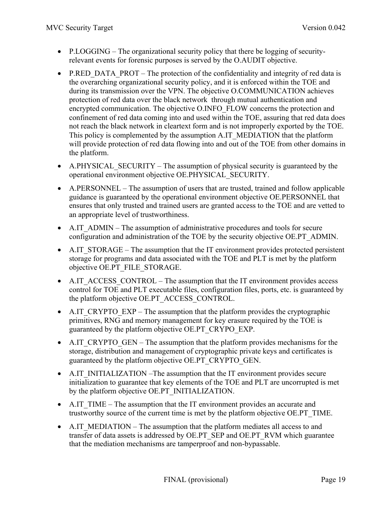- P.LOGGING The organizational security policy that there be logging of securityrelevant events for forensic purposes is served by the O.AUDIT objective.
- P.RED DATA PROT The protection of the confidentiality and integrity of red data is the overarching organizational security policy, and it is enforced within the TOE and during its transmission over the VPN. The objective O.COMMUNICATION achieves protection of red data over the black network through mutual authentication and encrypted communication. The objective O.INFO\_FLOW concerns the protection and confinement of red data coming into and used within the TOE, assuring that red data does not reach the black network in cleartext form and is not improperly exported by the TOE. This policy is complemented by the assumption A.IT\_MEDIATION that the platform will provide protection of red data flowing into and out of the TOE from other domains in the platform.
- A.PHYSICAL SECURITY The assumption of physical security is guaranteed by the operational environment objective OE.PHYSICAL\_SECURITY.
- A.PERSONNEL The assumption of users that are trusted, trained and follow applicable guidance is guaranteed by the operational environment objective OE.PERSONNEL that ensures that only trusted and trained users are granted access to the TOE and are vetted to an appropriate level of trustworthiness.
- A.IT ADMIN The assumption of administrative procedures and tools for secure configuration and administration of the TOE by the security objective OE.PT\_ADMIN.
- A.IT STORAGE The assumption that the IT environment provides protected persistent storage for programs and data associated with the TOE and PLT is met by the platform objective OE.PT\_FILE\_STORAGE.
- A.IT ACCESS CONTROL The assumption that the IT environment provides access control for TOE and PLT executable files, configuration files, ports, etc. is guaranteed by the platform objective OE.PT\_ACCESS\_CONTROL.
- A.IT CRYPTO EXP The assumption that the platform provides the cryptographic primitives, RNG and memory management for key erasure required by the TOE is guaranteed by the platform objective OE.PT\_CRYPO\_EXP.
- A.IT CRYPTO GEN The assumption that the platform provides mechanisms for the storage, distribution and management of cryptographic private keys and certificates is guaranteed by the platform objective OE.PT\_CRYPTO\_GEN.
- A.IT INITIALIZATION –The assumption that the IT environment provides secure initialization to guarantee that key elements of the TOE and PLT are uncorrupted is met by the platform objective OE.PT\_INITIALIZATION.
- A.IT TIME The assumption that the IT environment provides an accurate and trustworthy source of the current time is met by the platform objective OE.PT\_TIME.
- A.IT MEDIATION The assumption that the platform mediates all access to and transfer of data assets is addressed by OE.PT\_SEP and OE.PT\_RVM which guarantee that the mediation mechanisms are tamperproof and non-bypassable.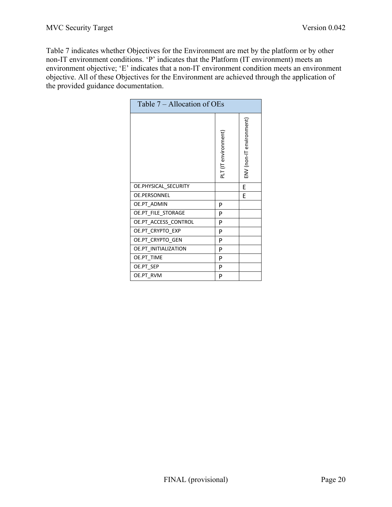Table 7 indicates whether Objectives for the Environment are met by the platform or by other non-IT environment conditions. 'P' indicates that the Platform (IT environment) meets an environment objective; 'E' indicates that a non-IT environment condition meets an environment objective. All of these Objectives for the Environment are achieved through the application of the provided guidance documentation.

| Table 7 – Allocation of OEs |                      |                          |
|-----------------------------|----------------------|--------------------------|
|                             | PLT (IT environment) | ENV (non-IT environment) |
| OE.PHYSICAL_SECURITY        |                      | E                        |
| <b>OE.PERSONNEL</b>         |                      | F                        |
| <b>OE.PT ADMIN</b>          | P                    |                          |
| OE.PT_FILE_STORAGE          | P                    |                          |
| OE.PT_ACCESS_CONTROL        | P                    |                          |
| OE.PT CRYPTO EXP            | P                    |                          |
| OE.PT_CRYPTO_GEN            | P                    |                          |
| OE.PT INITIALIZATION        | P                    |                          |
| OE.PT_TIME                  | P                    |                          |
| OE.PT_SEP                   | P                    |                          |
| OE.PT RVM                   | P                    |                          |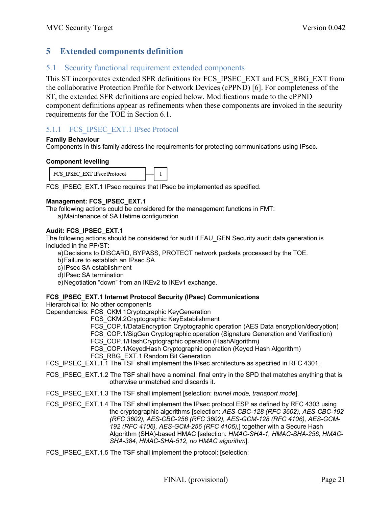## **5 Extended components definition**

## 5.1 Security functional requirement extended components

This ST incorporates extended SFR definitions for FCS\_IPSEC\_EXT and FCS\_RBG\_EXT from the collaborative Protection Profile for Network Devices (cPPND) [6]. For completeness of the ST, the extended SFR definitions are copied below. Modifications made to the cPPND component definitions appear as refinements when these components are invoked in the security requirements for the TOE in Section 6.1.

## 5.1.1 FCS IPSEC EXT.1 IPsec Protocol

#### **Family Behaviour**

Components in this family address the requirements for protecting communications using IPsec.

#### **Component levelling**

| FCS IPSEC EXT IPsec Protocol |  |  |  |
|------------------------------|--|--|--|
|------------------------------|--|--|--|

FCS\_IPSEC\_EXT.1 IPsec requires that IPsec be implemented as specified.

#### **Management: FCS\_IPSEC\_EXT.1**

The following actions could be considered for the management functions in FMT: a)Maintenance of SA lifetime configuration

#### **Audit: FCS\_IPSEC\_EXT.1**

The following actions should be considered for audit if FAU\_GEN Security audit data generation is included in the PP/ST:

a)Decisions to DISCARD, BYPASS, PROTECT network packets processed by the TOE.

- b)Failure to establish an IPsec SA
- c) IPsec SA establishment
- d)IPsec SA termination
- e)Negotiation "down" from an IKEv2 to IKEv1 exchange.

#### **FCS\_IPSEC\_EXT.1 Internet Protocol Security (IPsec) Communications**

Hierarchical to: No other components

- Dependencies: FCS\_CKM.1Cryptographic KeyGeneration
	- FCS\_CKM.2Cryptographic KeyEstablishment
	- FCS COP.1/DataEncryption Cryptographic operation (AES Data encryption/decryption)
	- FCS\_COP.1/SigGen Cryptographic operation (Signature Generation and Verification)
	- FCS COP.1/HashCryptographic operation (HashAlgorithm)
	- FCS\_COP.1/KeyedHash Cryptographic operation (Keyed Hash Algorithm)
	- FCS\_RBG\_EXT.1 Random Bit Generation

FCS IPSEC EXT.1.1 The TSF shall implement the IPsec architecture as specified in RFC 4301.

FCS IPSEC EXT.1.2 The TSF shall have a nominal, final entry in the SPD that matches anything that is otherwise unmatched and discards it.

FCS\_IPSEC\_EXT.1.3 The TSF shall implement [selection: *tunnel mode, transport mode*].

FCS\_IPSEC\_EXT.1.4 The TSF shall implement the IPsec protocol ESP as defined by RFC 4303 using the cryptographic algorithms [selection: *AES-CBC-128 (RFC 3602), AES-CBC-192 (RFC 3602), AES-CBC-256 (RFC 3602), AES-GCM-128 (RFC 4106), AES-GCM-192 (RFC 4106), AES-GCM-256 (RFC 4106),*] together with a Secure Hash Algorithm (SHA)-based HMAC [selection: *HMAC-SHA-1, HMAC-SHA-256, HMAC-SHA-384, HMAC-SHA-512, no HMAC algorithm*].

FCS IPSEC EXT.1.5 The TSF shall implement the protocol: [selection: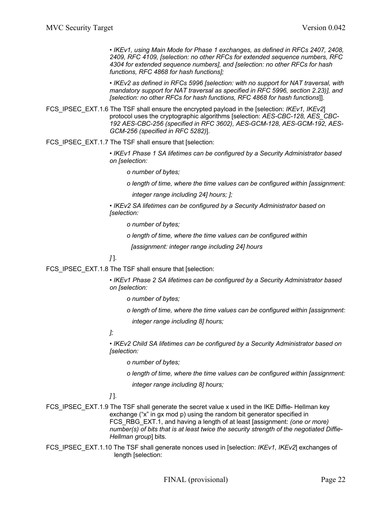*• IKEv1, using Main Mode for Phase 1 exchanges, as defined in RFCs 2407, 2408, 2409, RFC 4109, [selection: no other RFCs for extended sequence numbers, RFC 4304 for extended sequence numbers], and [selection: no other RFCs for hash functions, RFC 4868 for hash functions];*

*• IKEv2 as defined in RFCs 5996 [selection: with no support for NAT traversal, with mandatory support for NAT traversal as specified in RFC 5996, section 2.23)], and [selection: no other RFCs for hash functions, RFC 4868 for hash functions*]].

FCS\_IPSEC\_EXT.1.6 The TSF shall ensure the encrypted payload in the [selection: *IKEv1, IKEv2*] protocol uses the cryptographic algorithms [selection: *AES-CBC-128, AES\_CBC-192 AES-CBC-256 (specified in RFC 3602), AES-GCM-128, AES-GCM-192, AES-GCM-256 (specified in RFC 5282)*].

FCS\_IPSEC\_EXT.1.7 The TSF shall ensure that [selection:

*• IKEv1 Phase 1 SA lifetimes can be configured by a Security Administrator based on [selection:*

*o number of bytes;*

*o length of time, where the time values can be configured within [assignment:*

 *integer range including 24] hours; ];*

*• IKEv2 SA lifetimes can be configured by a Security Administrator based on [selection:* 

*o number of bytes;*

*o length of time, where the time values can be configured within*

 *[assignment: integer range including 24] hours*

*]* ].

FCS\_IPSEC\_EXT.1.8 The TSF shall ensure that [selection:

• *IKEv1 Phase 2 SA lifetimes can be configured by a Security Administrator based on [selection:*

*o number of bytes;*

*o length of time, where the time values can be configured within [assignment: integer range including 8] hours;*

*];*

*• IKEv2 Child SA lifetimes can be configured by a Security Administrator based on [selection:*

*o number of bytes;*

*o length of time, where the time values can be configured within [assignment:*

 *integer range including 8] hours;*

*]* ].

FCS IPSEC EXT.1.9 The TSF shall generate the secret value x used in the IKE Diffie- Hellman key exchange ("x" in gx mod p) using the random bit generator specified in FCS\_RBG\_EXT.1, and having a length of at least [assignment: *(one or more) number(s) of bits that is at least twice the security strength of the negotiated Diffie-Hellman group*] bits.

FCS\_IPSEC\_EXT.1.10 The TSF shall generate nonces used in [selection: *IKEv1, IKEv2*] exchanges of length [selection: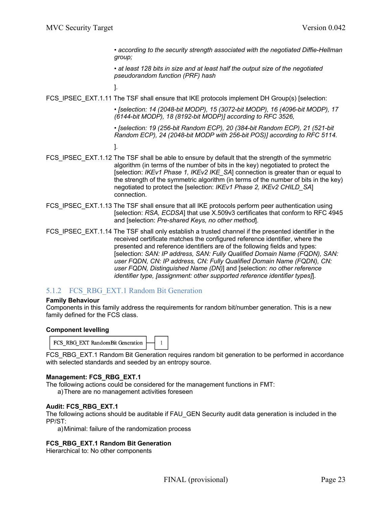*• according to the security strength associated with the negotiated Diffie-Hellman group;*

*• at least 128 bits in size and at least half the output size of the negotiated pseudorandom function (PRF) hash*

].

FCS\_IPSEC\_EXT.1.11 The TSF shall ensure that IKE protocols implement DH Group(s) [selection:

*• [selection: 14 (2048-bit MODP), 15 (3072-bit MODP), 16 (4096-bit MODP), 17 (6144-bit MODP), 18 (8192-bit MODP)] according to RFC 3526,*

*• [selection: 19 (256-bit Random ECP), 20 (384-bit Random ECP), 21 (521-bit Random ECP), 24 (2048-bit MODP with 256-bit POS)] according to RFC 5114.*

].

- FCS\_IPSEC\_EXT.1.12 The TSF shall be able to ensure by default that the strength of the symmetric algorithm (in terms of the number of bits in the key) negotiated to protect the [selection: *IKEv1 Phase 1, IKEv2 IKE\_SA*] connection is greater than or equal to the strength of the symmetric algorithm (in terms of the number of bits in the key) negotiated to protect the [selection: *IKEv1 Phase 2, IKEv2 CHILD\_SA*] connection.
- FCS\_IPSEC\_EXT.1.13 The TSF shall ensure that all IKE protocols perform peer authentication using [selection: *RSA, ECDSA*] that use X.509v3 certificates that conform to RFC 4945 and [selection: *Pre-shared Keys, no other method*].
- FCS IPSEC EXT.1.14 The TSF shall only establish a trusted channel if the presented identifier in the received certificate matches the configured reference identifier, where the presented and reference identifiers are of the following fields and types: [selection: *SAN: IP address, SAN: Fully Qualified Domain Name (FQDN), SAN: user FQDN, CN: IP address, CN: Fully Qualified Domain Name (FQDN), CN: user FQDN, Distinguished Name (DN)*] and [selection: *no other reference identifier type, [assignment: other supported reference identifier types]*].

## 5.1.2 FCS RBG EXT.1 Random Bit Generation

#### **Family Behaviour**

Components in this family address the requirements for random bit/number generation. This is a new family defined for the FCS class.

#### **Component levelling**

FCS RBG EXT RandomBit Generation  $\mathbf{1}$ 

FCS\_RBG\_EXT.1 Random Bit Generation requires random bit generation to be performed in accordance with selected standards and seeded by an entropy source.

#### **Management: FCS\_RBG\_EXT.1**

The following actions could be considered for the management functions in FMT:

a)There are no management activities foreseen

#### **Audit: FCS\_RBG\_EXT.1**

The following actions should be auditable if FAU\_GEN Security audit data generation is included in the PP/ST:

a)Minimal: failure of the randomization process

#### **FCS\_RBG\_EXT.1 Random Bit Generation**

Hierarchical to: No other components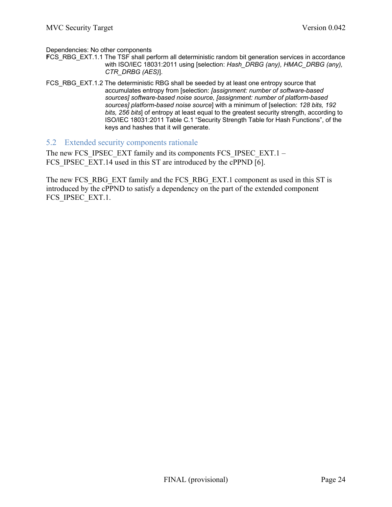Dependencies: No other components

- **FCS** RBG EXT.1.1 The TSF shall perform all deterministic random bit generation services in accordance with ISO/IEC 18031:2011 using [selection: *Hash\_DRBG (any), HMAC\_DRBG (any), CTR\_DRBG (AES)*].
- FCS\_RBG\_EXT.1.2 The deterministic RBG shall be seeded by at least one entropy source that accumulates entropy from [selection: *[assignment: number of software-based sources] software-based noise source, [assignment: number of platform-based sources] platform-based noise source*] with a minimum of [selection: *128 bits, 192 bits, 256 bits*] of entropy at least equal to the greatest security strength, according to ISO/IEC 18031:2011 Table C.1 "Security Strength Table for Hash Functions", of the keys and hashes that it will generate.

#### 5.2 Extended security components rationale

The new FCS\_IPSEC\_EXT family and its components FCS\_IPSEC\_EXT.1 – FCS IPSEC EXT.14 used in this ST are introduced by the cPPND [6].

The new FCS\_RBG\_EXT family and the FCS\_RBG\_EXT.1 component as used in this ST is introduced by the cPPND to satisfy a dependency on the part of the extended component FCS IPSEC EXT.1.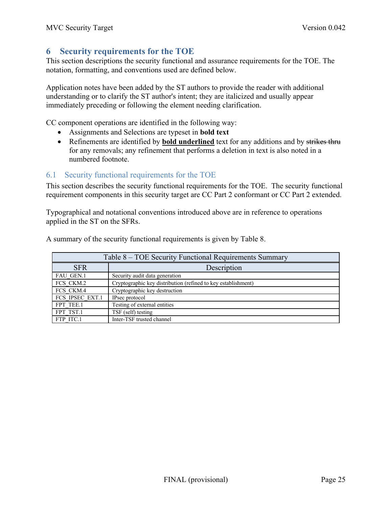# **6 Security requirements for the TOE**

This section descriptions the security functional and assurance requirements for the TOE. The notation, formatting, and conventions used are defined below.

Application notes have been added by the ST authors to provide the reader with additional understanding or to clarify the ST author's intent; they are italicized and usually appear immediately preceding or following the element needing clarification.

CC component operations are identified in the following way:

- Assignments and Selections are typeset in **bold text**
- Refinements are identified by **bold underlined** text for any additions and by strikes thru for any removals; any refinement that performs a deletion in text is also noted in a numbered footnote.

## 6.1 Security functional requirements for the TOE

This section describes the security functional requirements for the TOE. The security functional requirement components in this security target are CC Part 2 conformant or CC Part 2 extended.

Typographical and notational conventions introduced above are in reference to operations applied in the ST on the SFRs.

| Table 8 – TOE Security Functional Requirements Summary |                                                               |  |  |
|--------------------------------------------------------|---------------------------------------------------------------|--|--|
| <b>SFR</b>                                             | Description                                                   |  |  |
| <b>FAU GEN.1</b>                                       | Security audit data generation                                |  |  |
| FCS CKM.2                                              | Cryptographic key distribution (refined to key establishment) |  |  |
| FCS CKM.4                                              | Cryptographic key destruction                                 |  |  |
| FCS IPSEC EXT.1                                        | IPsec protocol                                                |  |  |
| FPT TEE.1                                              | Testing of external entities                                  |  |  |
| FPT TST.1                                              | TSF (self) testing                                            |  |  |
| FTP ITC.1                                              | Inter-TSF trusted channel                                     |  |  |

A summary of the security functional requirements is given by Table 8.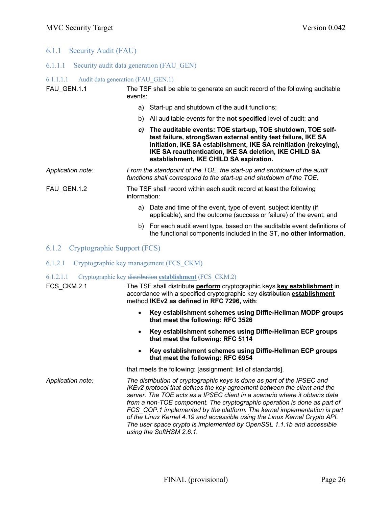#### 6.1.1 Security Audit (FAU)

#### 6.1.1.1 Security audit data generation (FAU\_GEN)

#### 6.1.1.1.1 Audit data generation (FAU\_GEN.1)

FAU GEN.1.1 The TSF shall be able to generate an audit record of the following auditable events:

- a) Start-up and shutdown of the audit functions;
- b) All auditable events for the **not specified** level of audit; and
- *c)* **The auditable events: TOE start-up, TOE shutdown, TOE selftest failure, strongSwan external entity test failure, IKE SA initiation, IKE SA establishment, IKE SA reinitiation (rekeying), IKE SA reauthentication, IKE SA deletion, IKE CHILD SA establishment, IKE CHILD SA expiration.**

*Application note: From the standpoint of the TOE, the start-up and shutdown of the audit functions shall correspond to the start-up and shutdown of the TOE.*

FAU GEN.1.2 The TSF shall record within each audit record at least the following information:

- a) Date and time of the event, type of event, subject identity (if applicable), and the outcome (success or failure) of the event; and
- b) For each audit event type, based on the auditable event definitions of the functional components included in the ST, **no other information**.
- 6.1.2 Cryptographic Support (FCS)
- 6.1.2.1 Cryptographic key management (FCS\_CKM)
- 6.1.2.1.1 Cryptographic key distribution **establishment** (FCS\_CKM.2)

FCS\_CKM.2.1 The TSF shall distribute **perform** cryptographic keys **key establishment** in accordance with a specified cryptographic key distribution **establishment** method **IKEv2 as defined in RFC 7296, with**:

- **Key establishment schemes using Diffie-Hellman MODP groups that meet the following: RFC 3526**
- **Key establishment schemes using Diffie-Hellman ECP groups that meet the following: RFC 5114**
- **Key establishment schemes using Diffie-Hellman ECP groups that meet the following: RFC 6954**

that meets the following: [assignment: list of standards].

*Application note: The distribution of cryptographic keys is done as part of the IPSEC and IKEv2 protocol that defines the key agreement between the client and the server. The TOE acts as a IPSEC client in a scenario where it obtains data from a non-TOE component. The cryptographic operation is done as part of FCS\_COP.1 implemented by the platform. The kernel implementation is part of the Linux Kernel 4.19 and accessible using the Linux Kernel Crypto API. The user space crypto is implemented by OpenSSL 1.1.1b and accessible using the SoftHSM 2.6.1.*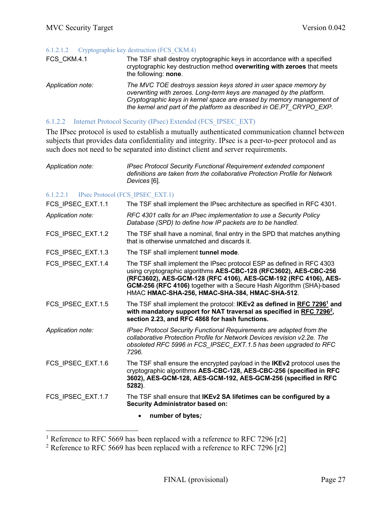#### 6.1.2.1.2 Cryptographic key destruction (FCS\_CKM.4)

| FCS CKM.4.1       | The TSF shall destroy cryptographic keys in accordance with a specified<br>cryptographic key destruction method overwriting with zeroes that meets<br>the following: none.                                                                                                                |
|-------------------|-------------------------------------------------------------------------------------------------------------------------------------------------------------------------------------------------------------------------------------------------------------------------------------------|
| Application note: | The MVC TOE destroys session keys stored in user space memory by<br>overwriting with zeroes. Long-term keys are managed by the platform.<br>Cryptographic keys in kernel space are erased by memory management of<br>the kernel and part of the platform as described in OE.PT CRYPO EXP. |

### 6.1.2.2 Internet Protocol Security (IPsec) Extended (FCS\_IPSEC\_EXT)

The IPsec protocol is used to establish a mutually authenticated communication channel between subjects that provides data confidentiality and integrity. IPsec is a peer-to-peer protocol and as such does not need to be separated into distinct client and server requirements.

| Application note: | <b>IPsec Protocol Security Functional Requirement extended component</b>    |
|-------------------|-----------------------------------------------------------------------------|
|                   | definitions are taken from the collaborative Protection Profile for Network |
|                   | Devices [6].                                                                |

#### 6.1.2.2.1 IPsec Protocol (FCS\_IPSEC\_EXT.1)

| FCS IPSEC EXT.1.1 | The TSF shall implement the IPsec architecture as specified in RFC 4301.                                                                                                                                                                                                                                                                |
|-------------------|-----------------------------------------------------------------------------------------------------------------------------------------------------------------------------------------------------------------------------------------------------------------------------------------------------------------------------------------|
| Application note: | RFC 4301 calls for an IPsec implementation to use a Security Policy<br>Database (SPD) to define how IP packets are to be handled.                                                                                                                                                                                                       |
| FCS_IPSEC_EXT.1.2 | The TSF shall have a nominal, final entry in the SPD that matches anything<br>that is otherwise unmatched and discards it.                                                                                                                                                                                                              |
| FCS_IPSEC_EXT.1.3 | The TSF shall implement tunnel mode.                                                                                                                                                                                                                                                                                                    |
| FCS IPSEC EXT.1.4 | The TSF shall implement the IPsec protocol ESP as defined in RFC 4303<br>using cryptographic algorithms AES-CBC-128 (RFC3602), AES-CBC-256<br>(RFC3602), AES-GCM-128 (RFC 4106), AES-GCM-192 (RFC 4106), AES-<br>GCM-256 (RFC 4106) together with a Secure Hash Algorithm (SHA)-based<br>HMAC HMAC-SHA-256, HMAC-SHA-384, HMAC-SHA-512. |
| FCS_IPSEC_EXT.1.5 | The TSF shall implement the protocol: IKEv2 as defined in RFC 7296 <sup>1</sup> and<br>with mandatory support for NAT traversal as specified in RFC 7296 <sup>2</sup> ,<br>section 2.23, and RFC 4868 for hash functions.                                                                                                               |
| Application note: | IPsec Protocol Security Functional Requirements are adapted from the<br>collaborative Protection Profile for Network Devices revision v2.2e. The<br>obsoleted RFC 5996 in FCS_IPSEC_EXT.1.5 has been upgraded to RFC<br>7296.                                                                                                           |
| FCS_IPSEC_EXT.1.6 | The TSF shall ensure the encrypted payload in the IKEv2 protocol uses the<br>cryptographic algorithms AES-CBC-128, AES-CBC-256 (specified in RFC<br>3602), AES-GCM-128, AES-GCM-192, AES-GCM-256 (specified in RFC<br>5282).                                                                                                            |
| FCS_IPSEC_EXT.1.7 | The TSF shall ensure that IKEv2 SA lifetimes can be configured by a<br><b>Security Administrator based on:</b>                                                                                                                                                                                                                          |
|                   | number of bytes;                                                                                                                                                                                                                                                                                                                        |

<sup>&</sup>lt;sup>1</sup> Reference to RFC 5669 has been replaced with a reference to RFC 7296 [r2]

<sup>&</sup>lt;sup>2</sup> Reference to RFC 5669 has been replaced with a reference to RFC 7296  $r2$ ]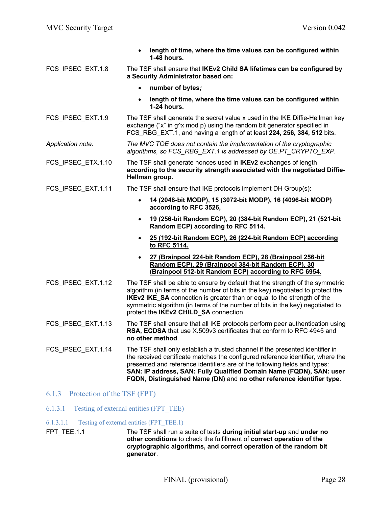|                    | length of time, where the time values can be configured within<br>$\bullet$<br>1-48 hours.                                                                                                                                                                                                                                                                                                     |
|--------------------|------------------------------------------------------------------------------------------------------------------------------------------------------------------------------------------------------------------------------------------------------------------------------------------------------------------------------------------------------------------------------------------------|
| FCS_IPSEC_EXT.1.8  | The TSF shall ensure that IKEv2 Child SA lifetimes can be configured by<br>a Security Administrator based on:                                                                                                                                                                                                                                                                                  |
|                    | number of bytes;<br>$\bullet$                                                                                                                                                                                                                                                                                                                                                                  |
|                    | length of time, where the time values can be configured within<br>$\bullet$<br>1-24 hours.                                                                                                                                                                                                                                                                                                     |
| FCS IPSEC EXT.1.9  | The TSF shall generate the secret value x used in the IKE Diffie-Hellman key<br>exchange ("x" in g^x mod p) using the random bit generator specified in<br>FCS RBG EXT.1, and having a length of at least 224, 256, 384, 512 bits.                                                                                                                                                             |
| Application note:  | The MVC TOE does not contain the implementation of the cryptographic<br>algorithms, so FCS_RBG_EXT.1 is addressed by OE.PT_CRYPTO_EXP.                                                                                                                                                                                                                                                         |
| FCS_IPSEC_ETX.1.10 | The TSF shall generate nonces used in IKEv2 exchanges of length<br>according to the security strength associated with the negotiated Diffie-<br>Hellman group.                                                                                                                                                                                                                                 |
| FCS IPSEC EXT.1.11 | The TSF shall ensure that IKE protocols implement DH Group(s):                                                                                                                                                                                                                                                                                                                                 |
|                    | 14 (2048-bit MODP), 15 (3072-bit MODP), 16 (4096-bit MODP)<br>$\bullet$<br>according to RFC 3526,                                                                                                                                                                                                                                                                                              |
|                    | 19 (256-bit Random ECP), 20 (384-bit Random ECP), 21 (521-bit<br>$\bullet$<br>Random ECP) according to RFC 5114.                                                                                                                                                                                                                                                                               |
|                    | 25 (192-bit Random ECP), 26 (224-bit Random ECP) according<br>$\bullet$<br>to RFC 5114.                                                                                                                                                                                                                                                                                                        |
|                    | 27 (Brainpool 224-bit Random ECP), 28 (Brainpool 256-bit<br>$\bullet$<br>Random ECP), 29 (Brainpool 384-bit Random ECP), 30<br>(Brainpool 512-bit Random ECP) according to RFC 6954.                                                                                                                                                                                                           |
| FCS_IPSEC_EXT.1.12 | The TSF shall be able to ensure by default that the strength of the symmetric<br>algorithm (in terms of the number of bits in the key) negotiated to protect the<br><b>IKEv2 IKE_SA</b> connection is greater than or equal to the strength of the<br>symmetric algorithm (in terms of the number of bits in the key) negotiated to<br>protect the IKEv2 CHILD_SA connection.                  |
| FCS_IPSEC_EXT.1.13 | The TSF shall ensure that all IKE protocols perform peer authentication using<br><b>RSA. ECDSA</b> that use X.509y3 certificates that conform to RFC 4945 and<br>no other method.                                                                                                                                                                                                              |
| FCS IPSEC EXT.1.14 | The TSF shall only establish a trusted channel if the presented identifier in<br>the received certificate matches the configured reference identifier, where the<br>presented and reference identifiers are of the following fields and types:<br>SAN: IP address, SAN: Fully Qualified Domain Name (FQDN), SAN: user<br>FQDN, Distinguished Name (DN) and no other reference identifier type. |
|                    |                                                                                                                                                                                                                                                                                                                                                                                                |

- 6.1.3 Protection of the TSF (FPT)
- 6.1.3.1 Testing of external entities (FPT\_TEE)
- 6.1.3.1.1 Testing of external entities (FPT\_TEE.1)
- FPT\_TEE.1.1 The TSF shall run a suite of tests **during initial start-up** and **under no other conditions** to check the fulfillment of **correct operation of the cryptographic algorithms, and correct operation of the random bit generator**.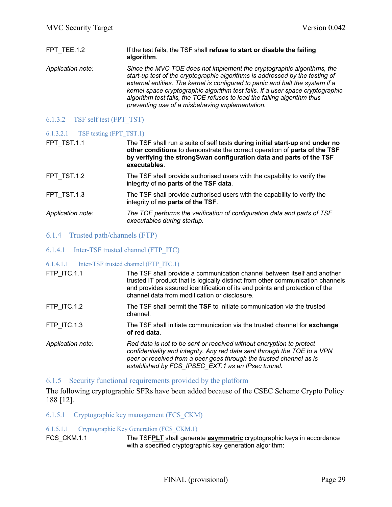| FPT TEE.1.2       | If the test fails, the TSF shall refuse to start or disable the failing<br>algorithm.                                                                                                                                                                                                                                                                                                                                                                    |
|-------------------|----------------------------------------------------------------------------------------------------------------------------------------------------------------------------------------------------------------------------------------------------------------------------------------------------------------------------------------------------------------------------------------------------------------------------------------------------------|
| Application note: | Since the MVC TOE does not implement the cryptographic algorithms, the<br>start-up test of the cryptographic algorithms is addressed by the testing of<br>external entities. The kernel is configured to panic and halt the system if a<br>kernel space cryptographic algorithm test fails. If a user space cryptographic<br>algorithm test fails, the TOE refuses to load the failing algorithm thus<br>preventing use of a misbehaving implementation. |

### 6.1.3.2 TSF self test (FPT\_TST)

| $6.1.3.2.1$ TSF testing (FPT TST.1) |                                                                              |
|-------------------------------------|------------------------------------------------------------------------------|
| FPT TST.1.1                         | The TSF shall run a suite of self tests during initial start-up and under no |
|                                     | other conditions to demonstrate the correct operation of parts of the TSF    |
|                                     | by verifying the strong Swan configuration data and parts of the TSF         |

|                   | executables.                                                                                                       |
|-------------------|--------------------------------------------------------------------------------------------------------------------|
| FPT TST.1.2       | The TSF shall provide authorised users with the capability to verify the<br>integrity of no parts of the TSF data. |
| FPT TST.1.3       | The TSF shall provide authorised users with the capability to verify the<br>integrity of no parts of the TSF.      |
| Application note: | The TOE performs the verification of configuration data and parts of TSF                                           |

*executables during startup.*

- 6.1.4 Trusted path/channels (FTP)
- 6.1.4.1 Inter-TSF trusted channel (FTP\_ITC)

#### 6.1.4.1.1 Inter-TSF trusted channel (FTP\_ITC.1)

| FTP ITC.1.1       | The TSF shall provide a communication channel between itself and another<br>trusted IT product that is logically distinct from other communication channels<br>and provides assured identification of its end points and protection of the<br>channel data from modification or disclosure. |
|-------------------|---------------------------------------------------------------------------------------------------------------------------------------------------------------------------------------------------------------------------------------------------------------------------------------------|
| FTP ITC.1.2       | The TSF shall permit the TSF to initiate communication via the trusted<br>channel.                                                                                                                                                                                                          |
| FTP ITC.1.3       | The TSF shall initiate communication via the trusted channel for exchange<br>of red data.                                                                                                                                                                                                   |
| Application note: | Red data is not to be sent or received without encryption to protect<br>confidentiality and integrity. Any red data sent through the TOE to a VPN<br>peer or received from a peer goes through the trusted channel as is<br>established by FCS IPSEC EXT.1 as an IPsec tunnel.              |

#### 6.1.5 Security functional requirements provided by the platform

The following cryptographic SFRs have been added because of the CSEC Scheme Crypto Policy 188 [12].

#### 6.1.5.1 Cryptographic key management (FCS\_CKM)

#### 6.1.5.1.1 Cryptographic Key Generation (FCS\_CKM.1)

FCS\_CKM.1.1 The TSF**PLT** shall generate **asymmetric** cryptographic keys in accordance with a specified cryptographic key generation algorithm: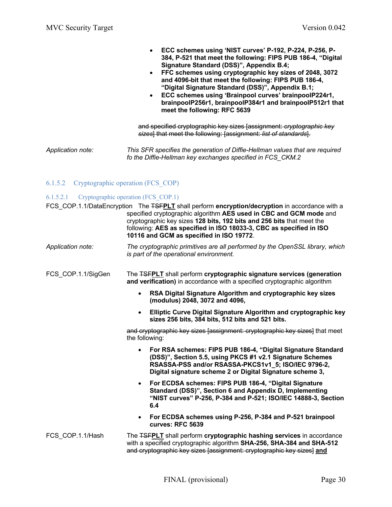- **ECC schemes using 'NIST curves' P-192, P-224, P-256, P-384, P-521 that meet the following: FIPS PUB 186-4, "Digital Signature Standard (DSS)", Appendix B.4;**
- **FFC schemes using cryptographic key sizes of 2048, 3072 and 4096-bit that meet the following: FIPS PUB 186-4, "Digital Signature Standard (DSS)", Appendix B.1;**
- **ECC schemes using 'Brainpool curves' brainpoolP224r1, brainpoolP256r1, brainpoolP384r1 and brainpoolP512r1 that meet the following: RFC 5639**

and specified cryptographic key sizes [assignment: *cryptographic key sizes*] that meet the following: [assignment: *list of standards*].

*Application note: This SFR specifies the generation of Diffie-Hellman values that are required fo the Diffie-Hellman key exchanges specified in FCS\_CKM.2*

#### 6.1.5.2 Cryptographic operation (FCS\_COP)

#### 6.1.5.2.1 Cryptographic operation (FCS\_COP.1)

|                    | FCS COP.1.1/DataEncryption The FSFPLT shall perform encryption/decryption in accordance with a<br>specified cryptographic algorithm AES used in CBC and GCM mode and<br>cryptographic key sizes 128 bits, 192 bits and 256 bits that meet the<br>following: AES as specified in ISO 18033-3, CBC as specified in ISO<br>10116 and GCM as specified in ISO 19772. |
|--------------------|------------------------------------------------------------------------------------------------------------------------------------------------------------------------------------------------------------------------------------------------------------------------------------------------------------------------------------------------------------------|
| Application note:  | The cryptographic primitives are all performed by the OpenSSL library, which<br>is part of the operational environment.                                                                                                                                                                                                                                          |
| FCS_COP.1.1/SigGen | The <b>TSFPLT</b> shall perform cryptographic signature services (generation<br>and verification) in accordance with a specified cryptographic algorithm                                                                                                                                                                                                         |
|                    | RSA Digital Signature Algorithm and cryptographic key sizes<br>$\bullet$<br>(modulus) 2048, 3072 and 4096,                                                                                                                                                                                                                                                       |
|                    | Elliptic Curve Digital Signature Algorithm and cryptographic key<br>$\bullet$<br>sizes 256 bits, 384 bits, 512 bits and 521 bits.                                                                                                                                                                                                                                |
|                    | and cryptographic key sizes [assignment: cryptographic key sizes] that meet<br>the following:                                                                                                                                                                                                                                                                    |
|                    | For RSA schemes: FIPS PUB 186-4, "Digital Signature Standard<br>$\bullet$<br>(DSS)", Section 5.5, using PKCS #1 v2.1 Signature Schemes<br>RSASSA-PSS and/or RSASSA-PKCS1v1 5; ISO/IEC 9796-2,<br>Digital signature scheme 2 or Digital Signature scheme 3,                                                                                                       |
|                    | For ECDSA schemes: FIPS PUB 186-4, "Digital Signature<br>$\bullet$<br>Standard (DSS)", Section 6 and Appendix D, Implementing<br>"NIST curves" P-256, P-384 and P-521; ISO/IEC 14888-3, Section<br>6.4                                                                                                                                                           |
|                    | For ECDSA schemes using P-256, P-384 and P-521 brainpool<br>$\bullet$<br>curves: RFC 5639                                                                                                                                                                                                                                                                        |
| FCS COP.1.1/Hash   | The <b>TSFPLT</b> shall perform cryptographic hashing services in accordance<br>with a specified cryptographic algorithm SHA-256, SHA-384 and SHA-512<br>and cryptographic key sizes [assignment: cryptographic key sizes] and                                                                                                                                   |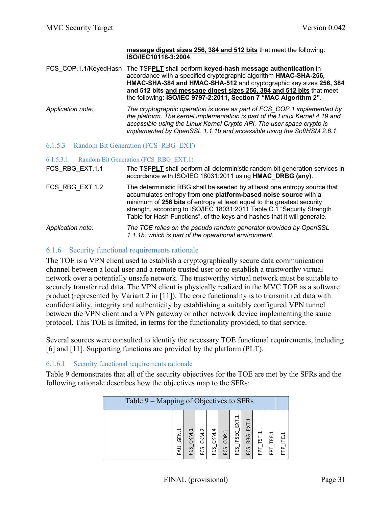|                                             | message digest sizes 256, 384 and 512 bits that meet the following:<br>ISO/IEC10118-3:2004.                                                                                                                                                                                                                                                                                  |  |  |  |  |  |
|---------------------------------------------|------------------------------------------------------------------------------------------------------------------------------------------------------------------------------------------------------------------------------------------------------------------------------------------------------------------------------------------------------------------------------|--|--|--|--|--|
| FCS COP.1.1/KeyedHash                       | The <b>TSFPLT</b> shall perform keyed-hash message authentication in<br>accordance with a specified cryptographic algorithm HMAC-SHA-256,<br>HMAC-SHA-384 and HMAC-SHA-512 and cryptographic key sizes 256, 384<br>and 512 bits and message digest sizes 256, 384 and 512 bits that meet<br>the following: ISO/IEC 9797-2:2011, Section 7 "MAC Algorithm 2".                 |  |  |  |  |  |
| Application note:                           | The cryptographic operation is done as part of FCS COP.1 implemented by<br>the platform. The kernel implementation is part of the Linux Kernel 4.19 and<br>accessible using the Linux Kernel Crypto API. The user space crypto is<br>implemented by OpenSSL 1.1.1b and accessible using the SoftHSM 2.6.1.                                                                   |  |  |  |  |  |
| 6.1.5.3 Random Bit Generation (FCS RBG EXT) |                                                                                                                                                                                                                                                                                                                                                                              |  |  |  |  |  |
| 6.1.5.3.1                                   | Random Bit Generation (FCS RBG EXT.1)                                                                                                                                                                                                                                                                                                                                        |  |  |  |  |  |
| FCS_RBG_EXT.1.1                             | The <b>TSFPLT</b> shall perform all deterministic random bit generation services in<br>accordance with ISO/IEC 18031:2011 using HMAC DRBG (any).                                                                                                                                                                                                                             |  |  |  |  |  |
| FCS_RBG_EXT.1.2                             | The deterministic RBG shall be seeded by at least one entropy source that<br>accumulates entropy from one platform-based noise source with a<br>minimum of 256 bits of entropy at least equal to the greatest security<br>strength, according to ISO/IEC 18031:2011 Table C.1 "Security Strength<br>Table for Hash Functions", of the keys and hashes that it will generate. |  |  |  |  |  |
| Application note:                           | The TOE relies on the pseudo random generator provided by OpenSSL                                                                                                                                                                                                                                                                                                            |  |  |  |  |  |

## 6.1.6 Security functional requirements rationale

The TOE is a VPN client used to establish a cryptographically secure data communication channel between a local user and a remote trusted user or to establish a trustworthy virtual network over a potentially unsafe network. The trustworthy virtual network must be suitable to securely transfer red data. The VPN client is physically realized in the MVC TOE as a software product (represented by Variant 2 in [11]). The core functionality is to transmit red data with confidentiality, integrity and authenticity by establishing a suitably configured VPN tunnel between the VPN client and a VPN gateway or other network device implementing the same protocol. This TOE is limited, in terms for the functionality provided, to that service.

Several sources were consulted to identify the necessary TOE functional requirements, including [6] and [11]. Supporting functions are provided by the platform (PLT).

#### 6.1.6.1 Security functional requirements rationale

Table 9 demonstrates that all of the security objectives for the TOE are met by the SFRs and the following rationale describes how the objectives map to the SFRs:

| Table 9 – Mapping of Objectives to SFRs |              |           |              |              |             |                     |                                   |              |                             |   |
|-----------------------------------------|--------------|-----------|--------------|--------------|-------------|---------------------|-----------------------------------|--------------|-----------------------------|---|
|                                         | GEN.1<br>LK- | ب.<br>KM. | CKM.2<br>ECS | CKM.4<br>ပ္မ | COP.1<br>بر | T<br>ăŚ<br>بر<br>ιī | ⊣<br>ΣŽ<br><b>RBG</b><br>بر<br>ιī | ų<br>51<br>급 | ⊣<br>뗦<br>Б<br>$\mathbf{H}$ | ⊣ |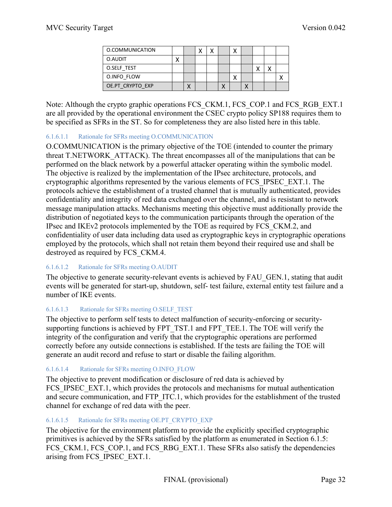| O.COMMUNICATION  |  |  |  |         |  |
|------------------|--|--|--|---------|--|
| O.AUDIT          |  |  |  |         |  |
| O.SELF TEST      |  |  |  | $\cdot$ |  |
| O.INFO FLOW      |  |  |  |         |  |
| OE.PT CRYPTO EXP |  |  |  |         |  |

Note: Although the crypto graphic operations FCS CKM.1, FCS COP.1 and FCS RGB EXT.1 are all provided by the operational environment the CSEC crypto policy SP188 requires them to be specified as SFRs in the ST. So for completeness they are also listed here in this table.

### 6.1.6.1.1 Rationale for SFRs meeting O.COMMUNICATION

O.COMMUNICATION is the primary objective of the TOE (intended to counter the primary threat T.NETWORK\_ATTACK). The threat encompasses all of the manipulations that can be performed on the black network by a powerful attacker operating within the symbolic model. The objective is realized by the implementation of the IPsec architecture, protocols, and cryptographic algorithms represented by the various elements of FCS\_IPSEC\_EXT.1. The protocols achieve the establishment of a trusted channel that is mutually authenticated, provides confidentiality and integrity of red data exchanged over the channel, and is resistant to network message manipulation attacks. Mechanisms meeting this objective must additionally provide the distribution of negotiated keys to the communication participants through the operation of the IPsec and IKEv2 protocols implemented by the TOE as required by FCS\_CKM.2, and confidentiality of user data including data used as cryptographic keys in cryptographic operations employed by the protocols, which shall not retain them beyond their required use and shall be destroyed as required by FCS\_CKM.4.

#### 6.1.6.1.2 Rationale for SFRs meeting O.AUDIT

The objective to generate security-relevant events is achieved by FAU GEN.1, stating that audit events will be generated for start-up, shutdown, self- test failure, external entity test failure and a number of IKE events.

## 6.1.6.1.3 Rationale for SFRs meeting O.SELF\_TEST

The objective to perform self tests to detect malfunction of security-enforcing or securitysupporting functions is achieved by FPT\_TST.1 and FPT\_TEE.1. The TOE will verify the integrity of the configuration and verify that the cryptographic operations are performed correctly before any outside connections is established. If the tests are failing the TOE will generate an audit record and refuse to start or disable the failing algorithm.

## 6.1.6.1.4 Rationale for SFRs meeting O.INFO\_FLOW

The objective to prevent modification or disclosure of red data is achieved by FCS IPSEC EXT.1, which provides the protocols and mechanisms for mutual authentication and secure communication, and FTP\_ITC.1, which provides for the establishment of the trusted channel for exchange of red data with the peer.

## 6.1.6.1.5 Rationale for SFRs meeting OE.PT\_CRYPTO\_EXP

The objective for the environment platform to provide the explicitly specified cryptographic primitives is achieved by the SFRs satisfied by the platform as enumerated in Section 6.1.5: FCS\_CKM.1, FCS\_COP.1, and FCS\_RBG\_EXT.1. These SFRs also satisfy the dependencies arising from FCS\_IPSEC\_EXT.1.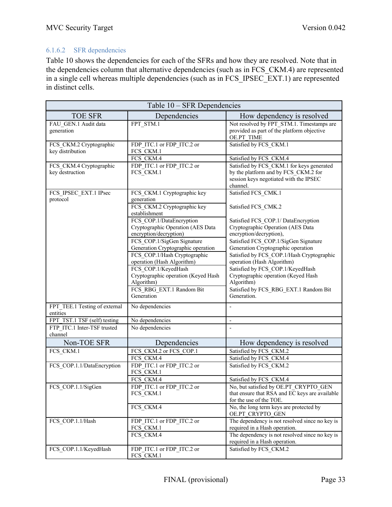# 6.1.6.2 SFR dependencies

Table 10 shows the dependencies for each of the SFRs and how they are resolved. Note that in the dependencies column that alternative dependencies (such as in FCS\_CKM.4) are represented in a single cell whereas multiple dependencies (such as in FCS\_IPSEC\_EXT.1) are represented in distinct cells.

| Table 10 – SFR Dependencies                 |                                                                                                  |                                                                                                                                         |  |  |  |  |  |
|---------------------------------------------|--------------------------------------------------------------------------------------------------|-----------------------------------------------------------------------------------------------------------------------------------------|--|--|--|--|--|
| <b>TOE SFR</b>                              | Dependencies                                                                                     | How dependency is resolved                                                                                                              |  |  |  |  |  |
| FAU GEN.1 Audit data<br>generation          | FPT STM.1                                                                                        | Not resolved by FPT STM.1. Timestamps are<br>provided as part of the platform objective<br>OE.PT TIME                                   |  |  |  |  |  |
| FCS CKM.2 Cryptographic<br>key distribution | FDP ITC.1 or FDP ITC.2 or<br>FCS CKM.1                                                           | Satisfied by FCS CKM.1                                                                                                                  |  |  |  |  |  |
|                                             | FCS CKM.4                                                                                        | Satisfied by FCS CKM.4                                                                                                                  |  |  |  |  |  |
| FCS CKM.4 Cryptographic<br>key destruction  | FDP ITC.1 or FDP_ITC.2 or<br>FCS CKM.1                                                           | Satisfied by FCS CKM.1 for keys generated<br>by the platform and by FCS CKM.2 for<br>session keys negotiated with the IPSEC<br>channel. |  |  |  |  |  |
| FCS_IPSEC_EXT.1 IPsec<br>protocol           | FCS CKM.1 Cryptographic key<br>generation                                                        | Satisfied FCS CMK.1                                                                                                                     |  |  |  |  |  |
|                                             | FCS CKM.2 Cryptographic key<br>establishment                                                     | Satisfied FCS CMK.2                                                                                                                     |  |  |  |  |  |
|                                             | FCS COP.1/DataEncryption<br>Cryptographic Operation (AES Data<br>encryption/decryption)          | Satisfied FCS COP.1/ DataEncryption<br>Cryptographic Operation (AES Data<br>encryption/decryption),                                     |  |  |  |  |  |
|                                             | FCS COP.1/SigGen Signature<br>Generation Cryptographic operation<br>FCS COP.1/Hash Cryptographic | Satisfied FCS COP.1/SigGen Signature<br>Generation Cryptographic operation<br>Satisfied by FCS COP.1/Hash Cryptographic                 |  |  |  |  |  |
|                                             | operation (Hash Algorithm)                                                                       | operation (Hash Algorithm)                                                                                                              |  |  |  |  |  |
|                                             | FCS COP.1/KeyedHash<br>Cryptographic operation (Keyed Hash                                       | Satisfied by FCS COP.1/KeyedHash<br>Cryptographic operation (Keyed Hash                                                                 |  |  |  |  |  |
|                                             | Algorithm)                                                                                       | Algorithm)                                                                                                                              |  |  |  |  |  |
|                                             | FCS_RBG_EXT.1 Random Bit<br>Generation                                                           | Satisfied by FCS_RBG_EXT.1 Random Bit<br>Generation.                                                                                    |  |  |  |  |  |
| FPT TEE.1 Testing of external               | No dependencies                                                                                  | $\overline{\phantom{0}}$                                                                                                                |  |  |  |  |  |
| entities                                    |                                                                                                  |                                                                                                                                         |  |  |  |  |  |
| FPT TST.1 TSF (self) testing                | No dependencies                                                                                  | $\blacksquare$                                                                                                                          |  |  |  |  |  |
| FTP ITC.1 Inter-TSF trusted<br>channel      | No dependencies                                                                                  |                                                                                                                                         |  |  |  |  |  |
| Non-TOE SFR                                 | Dependencies                                                                                     | How dependency is resolved                                                                                                              |  |  |  |  |  |
| FCS CKM.1                                   | FCS CKM.2 or FCS COP.1                                                                           | Satisfied by FCS CKM.2                                                                                                                  |  |  |  |  |  |
|                                             | FCS CKM.4                                                                                        | Satisfied by FCS CKM.4                                                                                                                  |  |  |  |  |  |
| FCS COP.1.1/DataEncryption                  | FDP ITC.1 or FDP ITC.2 or<br>FCS CKM.1                                                           | Satisfied by FCS CKM.2                                                                                                                  |  |  |  |  |  |
|                                             | FCS CKM.4                                                                                        | Satisfied by FCS CKM.4                                                                                                                  |  |  |  |  |  |
| FCS COP.1.1/SigGen                          | FDP_ITC.1 or FDP_ITC.2 or<br>FCS CKM.1                                                           | No, but satisfied by OE.PT CRYPTO GEN<br>that ensure that RSA and EC keys are available<br>for the use of the TOE.                      |  |  |  |  |  |
|                                             | FCS CKM.4                                                                                        | No, the long term keys are protected by<br>OE.PT_CRYPTO_GEN                                                                             |  |  |  |  |  |
| FCS COP.1.1/Hash                            | FDP ITC.1 or FDP ITC.2 or<br>FCS_CKM.1                                                           | The dependency is not resolved since no key is<br>required in a Hash operation.                                                         |  |  |  |  |  |
|                                             | FCS CKM.4                                                                                        | The dependency is not resolved since no key is<br>required in a Hash operation.                                                         |  |  |  |  |  |
| FCS COP.1.1/KeyedHash                       | FDP ITC.1 or FDP ITC.2 or<br>FCS CKM.1                                                           | Satisfied by FCS CKM.2                                                                                                                  |  |  |  |  |  |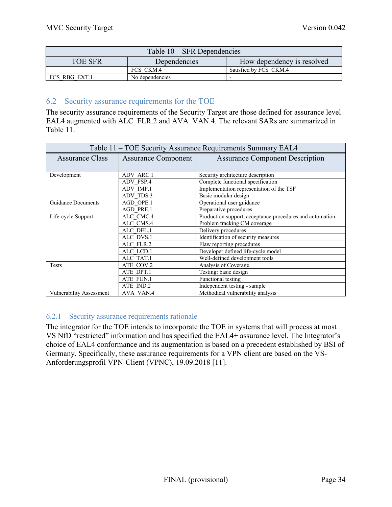| Table $10 - SFR$ Dependencies                                |                 |                        |  |  |  |  |  |
|--------------------------------------------------------------|-----------------|------------------------|--|--|--|--|--|
| How dependency is resolved<br><b>TOE SFR</b><br>Dependencies |                 |                        |  |  |  |  |  |
|                                                              | FCS CKM.4       | Satisfied by FCS CKM.4 |  |  |  |  |  |
| FCS RBG EXT.1                                                | No dependencies |                        |  |  |  |  |  |

## 6.2 Security assurance requirements for the TOE

The security assurance requirements of the Security Target are those defined for assurance level EAL4 augmented with ALC\_FLR.2 and AVA\_VAN.4. The relevant SARs are summarized in Table 11.

| Table 11 – TOE Security Assurance Requirements Summary EAL4+ |                            |                                                          |  |  |  |  |
|--------------------------------------------------------------|----------------------------|----------------------------------------------------------|--|--|--|--|
| <b>Assurance Class</b>                                       | <b>Assurance Component</b> | <b>Assurance Component Description</b>                   |  |  |  |  |
|                                                              |                            |                                                          |  |  |  |  |
| Development                                                  | <b>ADV ARC.1</b>           | Security architecture description                        |  |  |  |  |
|                                                              | ADV FSP.4                  | Complete functional specification                        |  |  |  |  |
|                                                              | ADV IMP.1                  | Implementation representation of the TSF                 |  |  |  |  |
|                                                              | ADV TDS.3                  | Basic modular design                                     |  |  |  |  |
| <b>Guidance Documents</b>                                    | AGD OPE.1                  | Operational user guidance                                |  |  |  |  |
|                                                              | <b>AGD PRE.1</b>           | Preparative procedures                                   |  |  |  |  |
| Life-cycle Support                                           | ALC CMC.4                  | Production support, acceptance procedures and automation |  |  |  |  |
|                                                              | ALC CMS.4                  | Problem tracking CM coverage                             |  |  |  |  |
|                                                              | ALC DEL.1                  | Delivery procedures                                      |  |  |  |  |
|                                                              | ALC DVS.1                  | Identification of security measures                      |  |  |  |  |
|                                                              | ALC FLR.2                  | Flaw reporting procedures                                |  |  |  |  |
|                                                              | ALC LCD.1                  | Developer defined life-cycle model                       |  |  |  |  |
|                                                              | ALC TAT.1                  | Well-defined development tools                           |  |  |  |  |
| Tests                                                        | ATE COV.2                  | Analysis of Coverage                                     |  |  |  |  |
|                                                              | ATE DPT.1                  | Testing: basic design                                    |  |  |  |  |
|                                                              | ATE FUN.1                  | Functional testing                                       |  |  |  |  |
|                                                              | ATE IND.2                  | Independent testing - sample                             |  |  |  |  |
| <b>Vulnerability Assessment</b>                              | AVA VAN.4                  | Methodical vulnerability analysis                        |  |  |  |  |

## 6.2.1 Security assurance requirements rationale

The integrator for the TOE intends to incorporate the TOE in systems that will process at most VS NfD "restricted" information and has specified the EAL4+ assurance level. The Integrator's choice of EAL4 conformance and its augmentation is based on a precedent established by BSI of Germany. Specifically, these assurance requirements for a VPN client are based on the VS-Anforderungsprofil VPN-Client (VPNC), 19.09.2018 [11].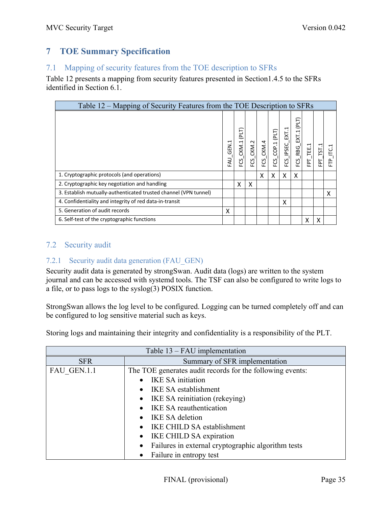# **7 TOE Summary Specification**

## 7.1 Mapping of security features from the TOE description to SFRs

Table 12 presents a mapping from security features presented in Section1.4.5 to the SFRs identified in Section 6.1.

| Table 12 – Mapping of Security Features from the TOE Description to SFRs |                    |                                  |           |           |                         |                    |                            |           |            |                                    |
|--------------------------------------------------------------------------|--------------------|----------------------------------|-----------|-----------|-------------------------|--------------------|----------------------------|-----------|------------|------------------------------------|
|                                                                          | GEN.1<br><b>LV</b> | ELI<br>CKM.1<br>FCS <sup>'</sup> | FCS_CKM.2 | FCS_CKM.4 | $FCS$ _ $COP.1$ $(PLT)$ | ⊣<br>FCS_IPSEC_EXT | (PLT)<br>$FCS$ RBG $EXT.1$ | FPT_TEE.1 | TST.1<br>급 | $\mathbf{\overline{u}}$<br>نا<br>È |
| 1. Cryptographic protocols (and operations)                              |                    |                                  |           | X         | X                       | X                  | X                          |           |            |                                    |
| 2. Cryptographic key negotiation and handling                            |                    | X                                | X         |           |                         |                    |                            |           |            |                                    |
| 3. Establish mutually-authenticated trusted channel (VPN tunnel)         |                    |                                  |           |           |                         |                    |                            |           |            | x                                  |
| 4. Confidentiality and integrity of red data-in-transit                  |                    |                                  |           |           |                         | X                  |                            |           |            |                                    |
| 5. Generation of audit records                                           | x                  |                                  |           |           |                         |                    |                            |           |            |                                    |
| 6. Self-test of the cryptographic functions                              |                    |                                  |           |           |                         |                    |                            | X         | X          |                                    |

# 7.2 Security audit

## 7.2.1 Security audit data generation (FAU\_GEN)

Security audit data is generated by strongSwan. Audit data (logs) are written to the system journal and can be accessed with systemd tools. The TSF can also be configured to write logs to a file, or to pass logs to the syslog(3) POSIX function.

StrongSwan allows the log level to be configured. Logging can be turned completely off and can be configured to log sensitive material such as keys.

Storing logs and maintaining their integrity and confidentiality is a responsibility of the PLT.

|             | Table $13 - FAU$ implementation                           |  |  |  |  |  |
|-------------|-----------------------------------------------------------|--|--|--|--|--|
| <b>SFR</b>  | Summary of SFR implementation                             |  |  |  |  |  |
| FAU GEN.1.1 | The TOE generates audit records for the following events: |  |  |  |  |  |
|             | <b>IKE SA initiation</b>                                  |  |  |  |  |  |
|             | IKE SA establishment                                      |  |  |  |  |  |
|             | IKE SA reinitiation (rekeying)<br>$\bullet$               |  |  |  |  |  |
|             | <b>IKE SA reauthentication</b>                            |  |  |  |  |  |
|             | <b>IKE SA deletion</b>                                    |  |  |  |  |  |
|             | IKE CHILD SA establishment                                |  |  |  |  |  |
|             | IKE CHILD SA expiration                                   |  |  |  |  |  |
|             | Failures in external cryptographic algorithm tests        |  |  |  |  |  |
|             | Failure in entropy test                                   |  |  |  |  |  |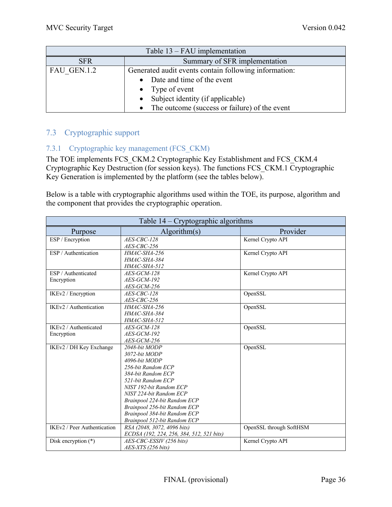| Table $13 - FAU$ implementation |                                                            |  |  |  |  |  |
|---------------------------------|------------------------------------------------------------|--|--|--|--|--|
| <b>SFR</b>                      | Summary of SFR implementation                              |  |  |  |  |  |
| FAU GEN.1.2                     | Generated audit events contain following information:      |  |  |  |  |  |
|                                 | • Date and time of the event                               |  |  |  |  |  |
|                                 | • Type of event                                            |  |  |  |  |  |
|                                 | Subject identity (if applicable)<br>$\bullet$              |  |  |  |  |  |
|                                 | The outcome (success or failure) of the event<br>$\bullet$ |  |  |  |  |  |

## 7.3 Cryptographic support

## 7.3.1 Cryptographic key management (FCS\_CKM)

The TOE implements FCS\_CKM.2 Cryptographic Key Establishment and FCS\_CKM.4 Cryptographic Key Destruction (for session keys). The functions FCS\_CKM.1 Cryptographic Key Generation is implemented by the platform (see the tables below).

Below is a table with cryptographic algorithms used within the TOE, its purpose, algorithm and the component that provides the cryptographic operation.

| Table 14 – Cryptographic algorithms |                                           |                         |  |  |  |
|-------------------------------------|-------------------------------------------|-------------------------|--|--|--|
| Purpose                             | Algorithms(s)                             | Provider                |  |  |  |
| ESP / Encryption                    | AES-CBC-128                               | Kernel Crypto API       |  |  |  |
|                                     | AES-CBC-256                               |                         |  |  |  |
| ESP / Authentication                | HMAC-SHA-256                              | Kernel Crypto API       |  |  |  |
|                                     | HMAC-SHA-384                              |                         |  |  |  |
|                                     | HMAC-SHA-512                              |                         |  |  |  |
| ESP / Authenticated                 | AES-GCM-128                               | Kernel Crypto API       |  |  |  |
| Encryption                          | AES-GCM-192                               |                         |  |  |  |
|                                     | AES-GCM-256                               |                         |  |  |  |
| IKEv2 / Encryption                  | AES-CBC-128                               | OpenSSL                 |  |  |  |
|                                     | AES-CBC-256                               |                         |  |  |  |
| IKEv2 / Authentication              | <b>HMAC-SHA-256</b>                       | OpenSSL                 |  |  |  |
|                                     | <b>HMAC-SHA-384</b>                       |                         |  |  |  |
|                                     | HMAC-SHA-512                              |                         |  |  |  |
| IKEv2 / Authenticated               | $AES-GCM-128$                             | OpenSSL                 |  |  |  |
| Encryption                          | AES-GCM-192                               |                         |  |  |  |
|                                     | AES-GCM-256                               |                         |  |  |  |
| IKEv2 / DH Key Exchange             | 2048-bit MODP                             | OpenSSL                 |  |  |  |
|                                     | 3072-bit MODP                             |                         |  |  |  |
|                                     | 4096-bit MODP                             |                         |  |  |  |
|                                     | 256-bit Random ECP                        |                         |  |  |  |
|                                     | 384-bit Random ECP                        |                         |  |  |  |
|                                     | 521-bit Random ECP                        |                         |  |  |  |
|                                     | NIST 192-bit Random ECP                   |                         |  |  |  |
|                                     | NIST 224-bit Random ECP                   |                         |  |  |  |
|                                     | Brainpool 224-bit Random ECP              |                         |  |  |  |
|                                     | Brainpool 256-bit Random ECP              |                         |  |  |  |
|                                     | Brainpool 384-bit Random ECP              |                         |  |  |  |
|                                     | Brainpool 512-bit Random ECP              |                         |  |  |  |
| IKEv2 / Peer Authentication         | RSA (2048, 3072, 4096 bits)               | OpenSSL through SoftHSM |  |  |  |
|                                     | ECDSA (192, 224, 256, 384, 512, 521 bits) |                         |  |  |  |
| Disk encryption $(*)$               | AES-CBC-ESSIV (256 bits)                  | Kernel Crypto API       |  |  |  |
|                                     | AES-XTS (256 bits)                        |                         |  |  |  |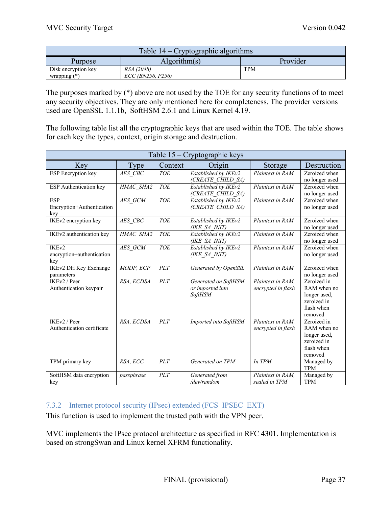| Table $14$ – Cryptographic algorithms |                                 |            |  |  |  |  |
|---------------------------------------|---------------------------------|------------|--|--|--|--|
| Provider<br>Algorithms(s)<br>Purpose  |                                 |            |  |  |  |  |
| Disk encryption key<br>wrapping $(*)$ | RSA (2048)<br>ECC (BN256, P256) | <b>TPM</b> |  |  |  |  |

The purposes marked by (\*) above are not used by the TOE for any security functions of to meet any security objectives. They are only mentioned here for completeness. The provider versions used are OpenSSL 1.1.1b, SoftHSM 2.6.1 and Linux Kernel 4.19.

The following table list all the cryptographic keys that are used within the TOE. The table shows for each key the types, context, origin storage and destruction.

| Table 15 – Cryptographic keys                         |             |            |                                                            |                                         |                                                                                    |
|-------------------------------------------------------|-------------|------------|------------------------------------------------------------|-----------------------------------------|------------------------------------------------------------------------------------|
| Key                                                   | <b>Type</b> | Context    | Origin                                                     | Storage                                 | Destruction                                                                        |
| <b>ESP</b> Encryption key                             | AES CBC     | <b>TOE</b> | Established by IKEv2<br>(CREATE CHILD SA)                  | Plaintext in RAM                        | Zeroized when<br>no longer used                                                    |
| ESP Authentication key                                | HMAC SHA2   | <b>TOE</b> | Established by IKEv2<br>(CREATE CHILD SA)                  | Plaintext in RAM                        | Zeroized when<br>no longer used                                                    |
| <b>ESP</b><br>Encryption+Authentication<br>key        | AES GCM     | <b>TOE</b> | Established by IKEv2<br>(CREATE CHILD SA)                  | Plaintext in RAM                        | Zeroized when<br>no longer used                                                    |
| IKEv2 encryption key                                  | AES CBC     | <b>TOE</b> | Established by IKEv2<br>(IKE SA INIT)                      | Plaintext in RAM                        | Zeroized when<br>no longer used                                                    |
| IKEv2 authentication key                              | HMAC SHA2   | <b>TOE</b> | Established by IKEv2<br>(IKE SA INIT)                      | Plaintext in RAM                        | Zeroized when<br>no longer used                                                    |
| IKE <sub>v2</sub><br>encryption+authentication<br>key | AES GCM     | <b>TOE</b> | Established by IKEv2<br>(IKE SA INIT)                      | Plaintext in RAM                        | Zeroized when<br>no longer used                                                    |
| IKEv2 DH Key Exchange<br>parameters                   | MODP, ECP   | PLT        | Generated by OpenSSL                                       | Plaintext in RAM                        | Zeroized when<br>no longer used                                                    |
| IKEv2 / Peer<br>Authentication keypair                | RSA, ECDSA  | PLT        | Generated on SoftHSM<br>or imported into<br><b>SoftHSM</b> | Plaintext in RAM.<br>encrypted in flash | Zeroized in<br>RAM when no<br>longer used,<br>zeroized in<br>flash when<br>removed |
| IKEv2 / Peer<br>Authentication certificate            | RSA, ECDSA  | PLT        | Imported into SoftHSM                                      | Plaintext in RAM,<br>encrypted in flash | Zeroized in<br>RAM when no<br>longer used,<br>zeroized in<br>flash when<br>removed |
| TPM primary key                                       | RSA, ECC    | PLT        | Generated on TPM                                           | In TPM                                  | Managed by<br><b>TPM</b>                                                           |
| SoftHSM data encryption<br>key                        | passphrase  | PLT        | Generated from<br>/dev/random                              | Plaintext in RAM,<br>sealed in TPM      | Managed by<br><b>TPM</b>                                                           |

# 7.3.2 Internet protocol security (IPsec) extended (FCS\_IPSEC\_EXT)

This function is used to implement the trusted path with the VPN peer.

MVC implements the IPsec protocol architecture as specified in RFC 4301. Implementation is based on strongSwan and Linux kernel XFRM functionality.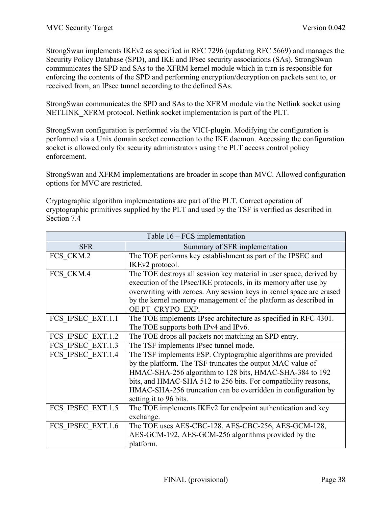StrongSwan implements IKEv2 as specified in RFC 7296 (updating RFC 5669) and manages the Security Policy Database (SPD), and IKE and IPsec security associations (SAs). StrongSwan communicates the SPD and SAs to the XFRM kernel module which in turn is responsible for enforcing the contents of the SPD and performing encryption/decryption on packets sent to, or received from, an IPsec tunnel according to the defined SAs.

StrongSwan communicates the SPD and SAs to the XFRM module via the Netlink socket using NETLINK\_XFRM protocol. Netlink socket implementation is part of the PLT.

StrongSwan configuration is performed via the VICI-plugin. Modifying the configuration is performed via a Unix domain socket connection to the IKE daemon. Accessing the configuration socket is allowed only for security administrators using the PLT access control policy enforcement.

StrongSwan and XFRM implementations are broader in scope than MVC. Allowed configuration options for MVC are restricted.

Cryptographic algorithm implementations are part of the PLT. Correct operation of cryptographic primitives supplied by the PLT and used by the TSF is verified as described in Section 7.4

| Table $16 - FCS$ implementation |                                                                      |  |
|---------------------------------|----------------------------------------------------------------------|--|
| <b>SFR</b>                      | Summary of SFR implementation                                        |  |
| FCS CKM.2                       | The TOE performs key establishment as part of the IPSEC and          |  |
|                                 | IKEv2 protocol.                                                      |  |
| FCS CKM.4                       | The TOE destroys all session key material in user space, derived by  |  |
|                                 | execution of the IPsec/IKE protocols, in its memory after use by     |  |
|                                 | overwriting with zeroes. Any session keys in kernel space are erased |  |
|                                 | by the kernel memory management of the platform as described in      |  |
|                                 | OE.PT CRYPO EXP.                                                     |  |
| FCS IPSEC EXT.1.1               | The TOE implements IPsec architecture as specified in RFC 4301.      |  |
|                                 | The TOE supports both IPv4 and IPv6.                                 |  |
| FCS IPSEC EXT.1.2               | The TOE drops all packets not matching an SPD entry.                 |  |
| FCS IPSEC EXT.1.3               | The TSF implements IPsec tunnel mode.                                |  |
| FCS IPSEC EXT.1.4               | The TSF implements ESP. Cryptographic algorithms are provided        |  |
|                                 | by the platform. The TSF truncates the output MAC value of           |  |
|                                 | HMAC-SHA-256 algorithm to 128 bits, HMAC-SHA-384 to 192              |  |
|                                 | bits, and HMAC-SHA 512 to 256 bits. For compatibility reasons,       |  |
|                                 | HMAC-SHA-256 truncation can be overridden in configuration by        |  |
|                                 | setting it to 96 bits.                                               |  |
| FCS IPSEC EXT.1.5               | The TOE implements IKEv2 for endpoint authentication and key         |  |
|                                 | exchange.                                                            |  |
| FCS IPSEC EXT.1.6               | The TOE uses AES-CBC-128, AES-CBC-256, AES-GCM-128,                  |  |
|                                 | AES-GCM-192, AES-GCM-256 algorithms provided by the                  |  |
|                                 | platform.                                                            |  |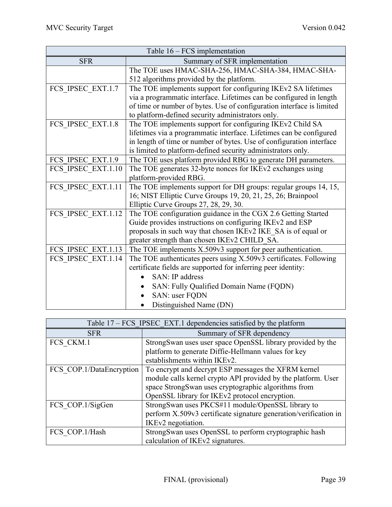| Table $16 - FCS$ implementation |                                                                       |  |
|---------------------------------|-----------------------------------------------------------------------|--|
| <b>SFR</b>                      | Summary of SFR implementation                                         |  |
|                                 | The TOE uses HMAC-SHA-256, HMAC-SHA-384, HMAC-SHA-                    |  |
|                                 | 512 algorithms provided by the platform.                              |  |
| FCS IPSEC EXT.1.7               | The TOE implements support for configuring IKEv2 SA lifetimes         |  |
|                                 | via a programmatic interface. Lifetimes can be configured in length   |  |
|                                 | of time or number of bytes. Use of configuration interface is limited |  |
|                                 | to platform-defined security administrators only.                     |  |
| FCS IPSEC EXT.1.8               | The TOE implements support for configuring IKEv2 Child SA             |  |
|                                 | lifetimes via a programmatic interface. Lifetimes can be configured   |  |
|                                 | in length of time or number of bytes. Use of configuration interface  |  |
|                                 | is limited to platform-defined security administrators only.          |  |
| FCS IPSEC EXT.1.9               | The TOE uses platform provided RBG to generate DH parameters.         |  |
| FCS_IPSEC_EXT.1.10              | The TOE generates 32-byte nonces for IKEv2 exchanges using            |  |
|                                 | platform-provided RBG.                                                |  |
| FCS_IPSEC_EXT.1.11              | The TOE implements support for DH groups: regular groups 14, 15,      |  |
|                                 | 16; NIST Elliptic Curve Groups 19, 20, 21, 25, 26; Brainpool          |  |
|                                 | Elliptic Curve Groups 27, 28, 29, 30.                                 |  |
| FCS IPSEC EXT.1.12              | The TOE configuration guidance in the CGX 2.6 Getting Started         |  |
|                                 | Guide provides instructions on configuring IKEv2 and ESP              |  |
|                                 | proposals in such way that chosen IKEv2 IKE SA is of equal or         |  |
|                                 | greater strength than chosen IKEv2 CHILD_SA.                          |  |
| FCS IPSEC EXT.1.13              | The TOE implements X.509v3 support for peer authentication.           |  |
| FCS IPSEC EXT.1.14              | The TOE authenticates peers using X.509v3 certificates. Following     |  |
|                                 | certificate fields are supported for inferring peer identity:         |  |
|                                 | SAN: IP address                                                       |  |
|                                 | SAN: Fully Qualified Domain Name (FQDN)                               |  |
|                                 | SAN: user FQDN                                                        |  |
|                                 | Distinguished Name (DN)                                               |  |

| Table 17 – FCS IPSEC EXT.1 dependencies satisfied by the platform |                                                                  |  |
|-------------------------------------------------------------------|------------------------------------------------------------------|--|
| <b>SFR</b>                                                        | Summary of SFR dependency                                        |  |
| FCS CKM.1                                                         | StrongSwan uses user space OpenSSL library provided by the       |  |
|                                                                   | platform to generate Diffie-Hellmann values for key              |  |
|                                                                   | establishments within IKEv2.                                     |  |
| FCS COP.1/DataEncryption                                          | To encrypt and decrypt ESP messages the XFRM kernel              |  |
|                                                                   | module calls kernel crypto API provided by the platform. User    |  |
|                                                                   | space StrongSwan uses cryptographic algorithms from              |  |
|                                                                   | OpenSSL library for IKEv2 protocol encryption.                   |  |
| FCS COP.1/SigGen                                                  | StrongSwan uses PKCS#11 module/OpenSSL library to                |  |
|                                                                   | perform X.509v3 certificate signature generation/verification in |  |
|                                                                   | IKEv2 negotiation.                                               |  |
| FCS COP.1/Hash                                                    | StrongSwan uses OpenSSL to perform cryptographic hash            |  |
|                                                                   | calculation of IKEv2 signatures.                                 |  |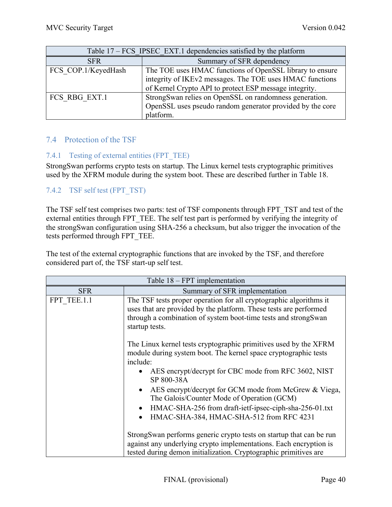| Table 17 – FCS IPSEC EXT.1 dependencies satisfied by the platform |                                                           |  |
|-------------------------------------------------------------------|-----------------------------------------------------------|--|
| <b>SFR</b>                                                        | Summary of SFR dependency                                 |  |
| FCS COP.1/KeyedHash                                               | The TOE uses HMAC functions of OpenSSL library to ensure  |  |
|                                                                   | integrity of IKEv2 messages. The TOE uses HMAC functions  |  |
|                                                                   | of Kernel Crypto API to protect ESP message integrity.    |  |
| FCS RBG EXT.1                                                     | StrongSwan relies on OpenSSL on randomness generation.    |  |
|                                                                   | OpenSSL uses pseudo random generator provided by the core |  |
|                                                                   | platform.                                                 |  |

## 7.4 Protection of the TSF

## 7.4.1 Testing of external entities (FPT\_TEE)

StrongSwan performs crypto tests on startup. The Linux kernel tests cryptographic primitives used by the XFRM module during the system boot. These are described further in Table 18.

## 7.4.2 TSF self test (FPT\_TST)

The TSF self test comprises two parts: test of TSF components through FPT\_TST and test of the external entities through FPT\_TEE. The self test part is performed by verifying the integrity of the strongSwan configuration using SHA-256 a checksum, but also trigger the invocation of the tests performed through FPT\_TEE.

The test of the external cryptographic functions that are invoked by the TSF, and therefore considered part of, the TSF start-up self test.

| Table $18 - FPT$ implementation |                                                                                                                                                                                                                                     |  |
|---------------------------------|-------------------------------------------------------------------------------------------------------------------------------------------------------------------------------------------------------------------------------------|--|
| <b>SFR</b>                      | Summary of SFR implementation                                                                                                                                                                                                       |  |
| FPT TEE.1.1                     | The TSF tests proper operation for all cryptographic algorithms it<br>uses that are provided by the platform. These tests are performed<br>through a combination of system boot-time tests and strongSwan<br>startup tests.         |  |
|                                 | The Linux kernel tests cryptographic primitives used by the XFRM<br>module during system boot. The kernel space cryptographic tests<br>include:<br>• AES encrypt/decrypt for CBC mode from RFC 3602, NIST<br>SP 800-38A             |  |
|                                 | AES encrypt/decrypt for GCM mode from McGrew & Viega,<br>$\bullet$<br>The Galois/Counter Mode of Operation (GCM)<br>HMAC-SHA-256 from draft-ietf-ipsec-ciph-sha-256-01.txt<br>$\bullet$<br>HMAC-SHA-384, HMAC-SHA-512 from RFC 4231 |  |
|                                 | Strong Swan performs generic crypto tests on startup that can be run<br>against any underlying crypto implementations. Each encryption is<br>tested during demon initialization. Cryptographic primitives are                       |  |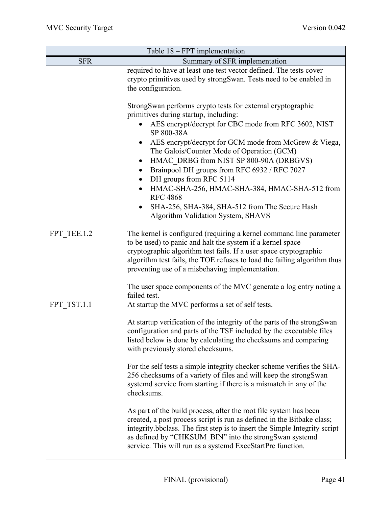| Table $18 - FPT$ implementation |                                                                                                                                                                                                                                                                                                                                                                                                                                                                                                                                                                                  |  |
|---------------------------------|----------------------------------------------------------------------------------------------------------------------------------------------------------------------------------------------------------------------------------------------------------------------------------------------------------------------------------------------------------------------------------------------------------------------------------------------------------------------------------------------------------------------------------------------------------------------------------|--|
| <b>SFR</b>                      | Summary of SFR implementation                                                                                                                                                                                                                                                                                                                                                                                                                                                                                                                                                    |  |
|                                 | required to have at least one test vector defined. The tests cover<br>crypto primitives used by strongSwan. Tests need to be enabled in<br>the configuration.                                                                                                                                                                                                                                                                                                                                                                                                                    |  |
|                                 | StrongSwan performs crypto tests for external cryptographic<br>primitives during startup, including:<br>AES encrypt/decrypt for CBC mode from RFC 3602, NIST<br>SP 800-38A<br>AES encrypt/decrypt for GCM mode from McGrew & Viega,<br>The Galois/Counter Mode of Operation (GCM)<br>HMAC_DRBG from NIST SP 800-90A (DRBGVS)<br>$\bullet$<br>Brainpool DH groups from RFC 6932 / RFC 7027<br>DH groups from RFC 5114<br>HMAC-SHA-256, HMAC-SHA-384, HMAC-SHA-512 from<br><b>RFC 4868</b><br>SHA-256, SHA-384, SHA-512 from The Secure Hash<br>Algorithm Validation System, SHAVS |  |
| FPT TEE.1.2                     | The kernel is configured (requiring a kernel command line parameter<br>to be used) to panic and halt the system if a kernel space<br>cryptographic algorithm test fails. If a user space cryptographic<br>algorithm test fails, the TOE refuses to load the failing algorithm thus<br>preventing use of a misbehaving implementation.                                                                                                                                                                                                                                            |  |
|                                 | The user space components of the MVC generate a log entry noting a<br>failed test.                                                                                                                                                                                                                                                                                                                                                                                                                                                                                               |  |
| FPT TST.1.1                     | At startup the MVC performs a set of self tests.                                                                                                                                                                                                                                                                                                                                                                                                                                                                                                                                 |  |
|                                 | At startup verification of the integrity of the parts of the strongSwan<br>configuration and parts of the TSF included by the executable files<br>listed below is done by calculating the checksums and comparing<br>with previously stored checksums.                                                                                                                                                                                                                                                                                                                           |  |
|                                 | For the self tests a simple integrity checker scheme verifies the SHA-<br>256 checksums of a variety of files and will keep the strongSwan<br>systemd service from starting if there is a mismatch in any of the<br>checksums.                                                                                                                                                                                                                                                                                                                                                   |  |
|                                 | As part of the build process, after the root file system has been<br>created, a post process script is run as defined in the Bitbake class;<br>integrity.bbclass. The first step is to insert the Simple Integrity script<br>as defined by "CHKSUM BIN" into the strongSwan systemd<br>service. This will run as a systemd ExecStartPre function.                                                                                                                                                                                                                                |  |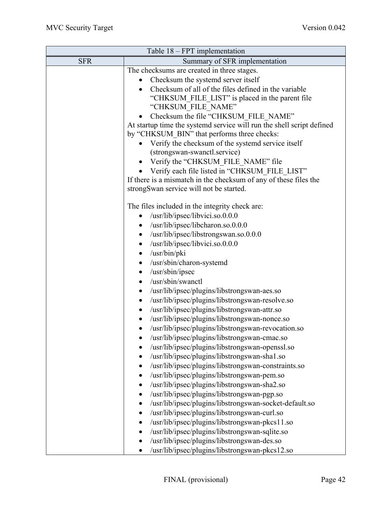| Table $18 - FPT$ implementation             |                                                                       |  |  |
|---------------------------------------------|-----------------------------------------------------------------------|--|--|
| <b>SFR</b><br>Summary of SFR implementation |                                                                       |  |  |
|                                             | The checksums are created in three stages.                            |  |  |
|                                             | Checksum the systemd server itself                                    |  |  |
|                                             | Checksum of all of the files defined in the variable                  |  |  |
|                                             | "CHKSUM_FILE_LIST" is placed in the parent file                       |  |  |
|                                             | "CHKSUM FILE NAME"                                                    |  |  |
|                                             | Checksum the file "CHKSUM FILE NAME"                                  |  |  |
|                                             | At startup time the systemd service will run the shell script defined |  |  |
|                                             | by "CHKSUM BIN" that performs three checks:                           |  |  |
|                                             | Verify the checksum of the systemd service itself                     |  |  |
|                                             | (strongswan-swanctl.service)                                          |  |  |
|                                             | Verify the "CHKSUM FILE NAME" file                                    |  |  |
|                                             | Verify each file listed in "CHKSUM FILE LIST"                         |  |  |
|                                             | If there is a mismatch in the checksum of any of these files the      |  |  |
|                                             | strongSwan service will not be started.                               |  |  |
|                                             | The files included in the integrity check are:                        |  |  |
|                                             | /usr/lib/ipsec/libvici.so.0.0.0                                       |  |  |
|                                             | /usr/lib/ipsec/libcharon.so.0.0.0<br>$\bullet$                        |  |  |
|                                             | /usr/lib/ipsec/libstrongswan.so.0.0.0<br>$\bullet$                    |  |  |
|                                             | /usr/lib/ipsec/libvici.so.0.0.0<br>$\bullet$                          |  |  |
|                                             | /usr/bin/pki<br>$\bullet$                                             |  |  |
|                                             | /usr/sbin/charon-systemd<br>٠                                         |  |  |
|                                             | /usr/sbin/ipsec<br>$\bullet$                                          |  |  |
|                                             | /usr/sbin/swanctl<br>$\bullet$                                        |  |  |
|                                             | /usr/lib/ipsec/plugins/libstrongswan-aes.so<br>$\bullet$              |  |  |
|                                             | /usr/lib/ipsec/plugins/libstrongswan-resolve.so<br>$\bullet$          |  |  |
|                                             | /usr/lib/ipsec/plugins/libstrongswan-attr.so<br>$\bullet$             |  |  |
|                                             | /usr/lib/ipsec/plugins/libstrongswan-nonce.so                         |  |  |
|                                             | /usr/lib/ipsec/plugins/libstrongswan-revocation.so                    |  |  |
|                                             | /usr/lib/ipsec/plugins/libstrongswan-cmac.so                          |  |  |
|                                             | /usr/lib/ipsec/plugins/libstrongswan-openssl.so                       |  |  |
|                                             | /usr/lib/ipsec/plugins/libstrongswan-sha1.so<br>$\bullet$             |  |  |
|                                             | /usr/lib/ipsec/plugins/libstrongswan-constraints.so                   |  |  |
|                                             | /usr/lib/ipsec/plugins/libstrongswan-pem.so                           |  |  |
|                                             | /usr/lib/ipsec/plugins/libstrongswan-sha2.so<br>$\bullet$             |  |  |
|                                             | /usr/lib/ipsec/plugins/libstrongswan-pgp.so<br>$\bullet$              |  |  |
|                                             | /usr/lib/ipsec/plugins/libstrongswan-socket-default.so<br>$\bullet$   |  |  |
|                                             | /usr/lib/ipsec/plugins/libstrongswan-curl.so<br>٠                     |  |  |
|                                             | /usr/lib/ipsec/plugins/libstrongswan-pkcs11.so                        |  |  |
|                                             | /usr/lib/ipsec/plugins/libstrongswan-sqlite.so                        |  |  |
|                                             | /usr/lib/ipsec/plugins/libstrongswan-des.so                           |  |  |
|                                             | /usr/lib/ipsec/plugins/libstrongswan-pkcs12.so                        |  |  |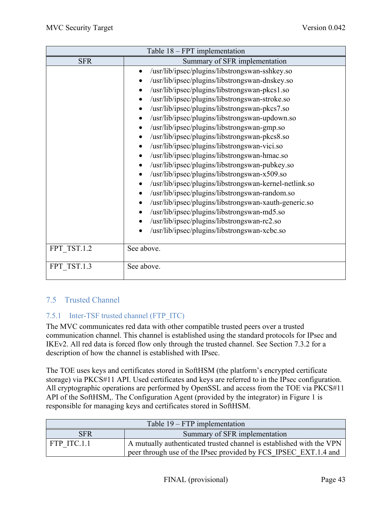| Table 18 - FPT implementation |                                                             |  |  |
|-------------------------------|-------------------------------------------------------------|--|--|
| <b>SFR</b>                    | Summary of SFR implementation                               |  |  |
|                               | /usr/lib/ipsec/plugins/libstrongswan-sshkey.so<br>$\bullet$ |  |  |
|                               | /usr/lib/ipsec/plugins/libstrongswan-dnskey.so              |  |  |
|                               | /usr/lib/ipsec/plugins/libstrongswan-pkcs1.so               |  |  |
|                               | /usr/lib/ipsec/plugins/libstrongswan-stroke.so              |  |  |
|                               | /usr/lib/ipsec/plugins/libstrongswan-pkcs7.so               |  |  |
|                               | /usr/lib/ipsec/plugins/libstrongswan-updown.so              |  |  |
|                               | /usr/lib/ipsec/plugins/libstrongswan-gmp.so                 |  |  |
|                               | /usr/lib/ipsec/plugins/libstrongswan-pkcs8.so               |  |  |
|                               | /usr/lib/ipsec/plugins/libstrongswan-vici.so                |  |  |
|                               | /usr/lib/ipsec/plugins/libstrongswan-hmac.so                |  |  |
|                               | /usr/lib/ipsec/plugins/libstrongswan-pubkey.so              |  |  |
|                               | /usr/lib/ipsec/plugins/libstrongswan-x509.so                |  |  |
|                               | /usr/lib/ipsec/plugins/libstrongswan-kernel-netlink.so      |  |  |
|                               | /usr/lib/ipsec/plugins/libstrongswan-random.so              |  |  |
|                               | /usr/lib/ipsec/plugins/libstrongswan-xauth-generic.so       |  |  |
|                               | /usr/lib/ipsec/plugins/libstrongswan-md5.so                 |  |  |
|                               | /usr/lib/ipsec/plugins/libstrongswan-rc2.so                 |  |  |
|                               | /usr/lib/ipsec/plugins/libstrongswan-xcbc.so                |  |  |
|                               |                                                             |  |  |
| FPT TST.1.2                   | See above.                                                  |  |  |
| FPT TST.1.3                   | See above.                                                  |  |  |

# 7.5 Trusted Channel

## 7.5.1 Inter-TSF trusted channel (FTP\_ITC)

The MVC communicates red data with other compatible trusted peers over a trusted communication channel. This channel is established using the standard protocols for IPsec and IKEv2. All red data is forced flow only through the trusted channel. See Section 7.3.2 for a description of how the channel is established with IPsec.

The TOE uses keys and certificates stored in SoftHSM (the platform's encrypted certificate storage) via PKCS#11 API. Used certificates and keys are referred to in the IPsec configuration. All cryptographic operations are performed by OpenSSL and access from the TOE via PKCS#11 API of the SoftHSM,. The Configuration Agent (provided by the integrator) in Figure 1 is responsible for managing keys and certificates stored in SoftHSM.

| Table $19 - FTP$ implementation |                                                                      |  |
|---------------------------------|----------------------------------------------------------------------|--|
| <b>SFR</b>                      | Summary of SFR implementation                                        |  |
| FTP ITC.1.1                     | A mutually authenticated trusted channel is established with the VPN |  |
|                                 | peer through use of the IPsec provided by FCS IPSEC EXT.1.4 and      |  |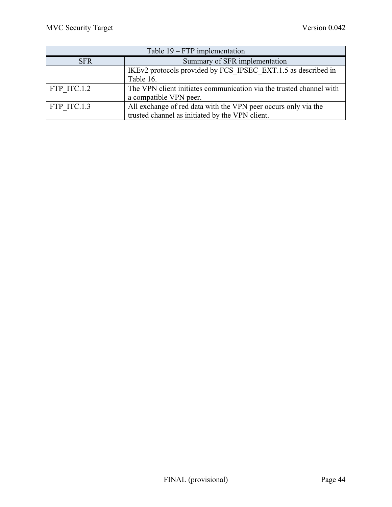| Table 19 – FTP implementation |                                                                                                                   |  |
|-------------------------------|-------------------------------------------------------------------------------------------------------------------|--|
| <b>SFR</b>                    | Summary of SFR implementation                                                                                     |  |
|                               | IKEv2 protocols provided by FCS IPSEC EXT.1.5 as described in<br>Table 16.                                        |  |
| FTP ITC.1.2                   | The VPN client initiates communication via the trusted channel with<br>a compatible VPN peer.                     |  |
| FTP ITC.1.3                   | All exchange of red data with the VPN peer occurs only via the<br>trusted channel as initiated by the VPN client. |  |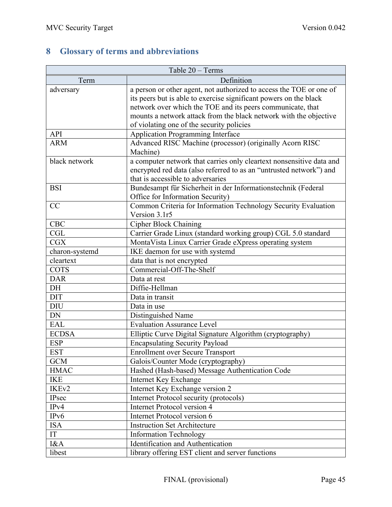# **8 Glossary of terms and abbreviations**

| Table 20 - Terms  |                                                                      |  |
|-------------------|----------------------------------------------------------------------|--|
| Term              | Definition                                                           |  |
| adversary         | a person or other agent, not authorized to access the TOE or one of  |  |
|                   | its peers but is able to exercise significant powers on the black    |  |
|                   | network over which the TOE and its peers communicate, that           |  |
|                   | mounts a network attack from the black network with the objective    |  |
|                   | of violating one of the security policies                            |  |
| API               | <b>Application Programming Interface</b>                             |  |
| <b>ARM</b>        | Advanced RISC Machine (processor) (originally Acorn RISC             |  |
|                   | Machine)                                                             |  |
| black network     | a computer network that carries only cleartext nonsensitive data and |  |
|                   | encrypted red data (also referred to as an "untrusted network") and  |  |
|                   | that is accessible to adversaries                                    |  |
| <b>BSI</b>        | Bundesampt für Sicherheit in der Informationstechnik (Federal        |  |
|                   | Office for Information Security)                                     |  |
| CC                | Common Criteria for Information Technology Security Evaluation       |  |
|                   | Version 3.1r5                                                        |  |
| <b>CBC</b>        | <b>Cipher Block Chaining</b>                                         |  |
| <b>CGL</b>        | Carrier Grade Linux (standard working group) CGL 5.0 standard        |  |
| CGX               | MontaVista Linux Carrier Grade eXpress operating system              |  |
| charon-systemd    | IKE daemon for use with systemd                                      |  |
| cleartext         | data that is not encrypted                                           |  |
| <b>COTS</b>       | Commercial-Off-The-Shelf                                             |  |
| <b>DAR</b>        | Data at rest                                                         |  |
| DH                | Diffie-Hellman                                                       |  |
| <b>DIT</b>        | Data in transit                                                      |  |
| <b>DIU</b>        | Data in use                                                          |  |
| DN                | Distinguished Name                                                   |  |
| EAL               | <b>Evaluation Assurance Level</b>                                    |  |
| <b>ECDSA</b>      | Elliptic Curve Digital Signature Algorithm (cryptography)            |  |
| <b>ESP</b>        | <b>Encapsulating Security Payload</b>                                |  |
| <b>EST</b>        | <b>Enrollment over Secure Transport</b>                              |  |
| <b>GCM</b>        | Galois/Counter Mode (cryptography)                                   |  |
| <b>HMAC</b>       | Hashed (Hash-based) Message Authentication Code                      |  |
| <b>IKE</b>        | Internet Key Exchange                                                |  |
| IKE <sub>v2</sub> | Internet Key Exchange version 2                                      |  |
| IPsec             | Internet Protocol security (protocols)                               |  |
| IPv4              | Internet Protocol version 4                                          |  |
| IP <sub>v</sub> 6 | Internet Protocol version 6                                          |  |
| <b>ISA</b>        | <b>Instruction Set Architecture</b>                                  |  |
| IT                | <b>Information Technology</b>                                        |  |
| I&A               | Identification and Authentication                                    |  |
| libest            | library offering EST client and server functions                     |  |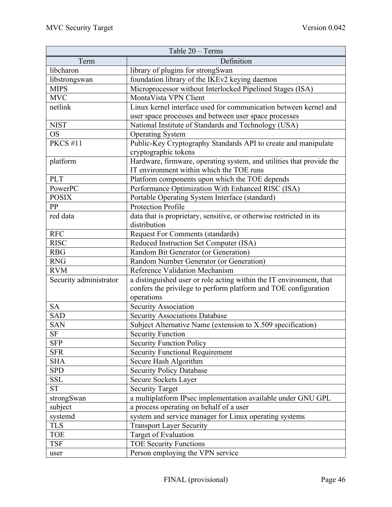|                        | Table 20 - Terms                                                     |
|------------------------|----------------------------------------------------------------------|
| Term                   | Definition                                                           |
| libcharon              | library of plugins for strongSwan                                    |
| libstrongswan          | foundation library of the IKEv2 keying daemon                        |
| <b>MIPS</b>            | Microprocessor without Interlocked Pipelined Stages (ISA)            |
| <b>MVC</b>             | MontaVista VPN Client                                                |
| netlink                | Linux kernel interface used for communication between kernel and     |
|                        | user space processes and between user space processes                |
| <b>NIST</b>            | National Institute of Standards and Technology (USA)                 |
| <b>OS</b>              | <b>Operating System</b>                                              |
| <b>PKCS #11</b>        | Public-Key Cryptography Standards API to create and manipulate       |
|                        | cryptographic tokens                                                 |
| platform               | Hardware, firmware, operating system, and utilities that provide the |
|                        | IT environment within which the TOE runs                             |
| <b>PLT</b>             | Platform components upon which the TOE depends                       |
| PowerPC                | Performance Optimization With Enhanced RISC (ISA)                    |
| <b>POSIX</b>           | Portable Operating System Interface (standard)                       |
| PP                     | <b>Protection Profile</b>                                            |
| red data               | data that is proprietary, sensitive, or otherwise restricted in its  |
|                        | distribution                                                         |
| <b>RFC</b>             | <b>Request For Comments (standards)</b>                              |
| <b>RISC</b>            | Reduced Instruction Set Computer (ISA)                               |
| <b>RBG</b>             | Random Bit Generator (or Generation)                                 |
| <b>RNG</b>             | Random Number Generator (or Generation)                              |
| <b>RVM</b>             | Reference Validation Mechanism                                       |
| Security administrator | a distinguished user or role acting within the IT environment, that  |
|                        | confers the privilege to perform platform and TOE configuration      |
|                        | operations                                                           |
| <b>SA</b>              | Security Association                                                 |
| <b>SAD</b>             | <b>Security Associations Database</b>                                |
| <b>SAN</b>             | Subject Alternative Name (extension to X.509 specification)          |
| $\rm{SF}$              | <b>Security Function</b>                                             |
| <b>SFP</b>             | <b>Security Function Policy</b>                                      |
| <b>SFR</b>             | <b>Security Functional Requirement</b>                               |
| <b>SHA</b>             | Secure Hash Algorithm                                                |
| <b>SPD</b>             | <b>Security Policy Database</b>                                      |
| <b>SSL</b>             | <b>Secure Sockets Layer</b>                                          |
| <b>ST</b>              | <b>Security Target</b>                                               |
| strongSwan             | a multiplatform IPsec implementation available under GNU GPL         |
| subject                | a process operating on behalf of a user                              |
| systemd                | system and service manager for Linux operating systems               |
| <b>TLS</b>             | <b>Transport Layer Security</b>                                      |
| <b>TOE</b>             | Target of Evaluation                                                 |
| <b>TSF</b>             | <b>TOE Security Functions</b>                                        |
| user                   | Person employing the VPN service                                     |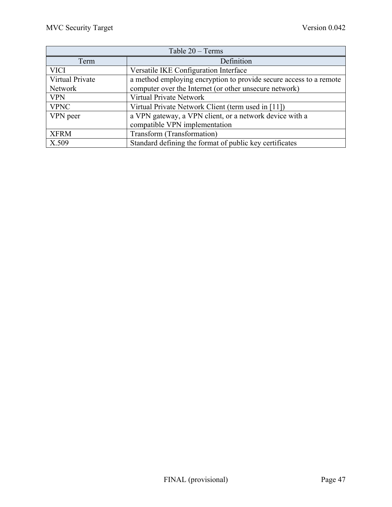| Table $20 - Terms$ |                                                                    |  |
|--------------------|--------------------------------------------------------------------|--|
| Term               | Definition                                                         |  |
| <b>VICI</b>        | Versatile IKE Configuration Interface                              |  |
| Virtual Private    | a method employing encryption to provide secure access to a remote |  |
| Network            | computer over the Internet (or other unsecure network)             |  |
| <b>VPN</b>         | Virtual Private Network                                            |  |
| <b>VPNC</b>        | Virtual Private Network Client (term used in [11])                 |  |
| VPN peer           | a VPN gateway, a VPN client, or a network device with a            |  |
|                    | compatible VPN implementation                                      |  |
| <b>XFRM</b>        | Transform (Transformation)                                         |  |
| X.509              | Standard defining the format of public key certificates            |  |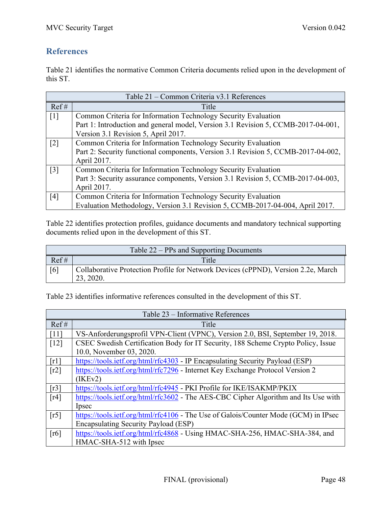# **References**

Table 21 identifies the normative Common Criteria documents relied upon in the development of this ST.

| Table 21 - Common Criteria v3.1 References |                                                                                   |  |
|--------------------------------------------|-----------------------------------------------------------------------------------|--|
| Ref#                                       | Title                                                                             |  |
| $\lceil 1 \rceil$                          | Common Criteria for Information Technology Security Evaluation                    |  |
|                                            | Part 1: Introduction and general model, Version 3.1 Revision 5, CCMB-2017-04-001, |  |
|                                            | Version 3.1 Revision 5, April 2017.                                               |  |
| $\lceil 2 \rceil$                          | Common Criteria for Information Technology Security Evaluation                    |  |
|                                            | Part 2: Security functional components, Version 3.1 Revision 5, CCMB-2017-04-002, |  |
|                                            | April 2017.                                                                       |  |
| $\lceil 3 \rceil$                          | Common Criteria for Information Technology Security Evaluation                    |  |
|                                            | Part 3: Security assurance components, Version 3.1 Revision 5, CCMB-2017-04-003,  |  |
|                                            | April 2017.                                                                       |  |
| [4]                                        | Common Criteria for Information Technology Security Evaluation                    |  |
|                                            | Evaluation Methodology, Version 3.1 Revision 5, CCMB-2017-04-004, April 2017.     |  |

Table 22 identifies protection profiles, guidance documents and mandatory technical supporting documents relied upon in the development of this ST.

| Table 22 – PPs and Supporting Documents |                                                                                                |
|-----------------------------------------|------------------------------------------------------------------------------------------------|
| Ref#                                    | Title                                                                                          |
| [6]                                     | Collaborative Protection Profile for Network Devices (cPPND), Version 2.2e, March<br>23, 2020. |

Table 23 identifies informative references consulted in the development of this ST.

| Table 23 – Informative References |                                                                                     |  |
|-----------------------------------|-------------------------------------------------------------------------------------|--|
| Ref#                              | Title                                                                               |  |
| [11]                              | VS-Anforderungsprofil VPN-Client (VPNC), Version 2.0, BSI, September 19, 2018.      |  |
| $[12]$                            | CSEC Swedish Certification Body for IT Security, 188 Scheme Crypto Policy, Issue    |  |
|                                   | 10.0, November 03, 2020.                                                            |  |
| $\lceil r \rceil$                 | https://tools.ietf.org/html/rfc4303 - IP Encapsulating Security Payload (ESP)       |  |
| $\lceil r^2 \rceil$               | https://tools.ietf.org/html/rfc7296 - Internet Key Exchange Protocol Version 2      |  |
|                                   | $($ IKEv2 $)$                                                                       |  |
| [r3]                              | https://tools.ietf.org/html/rfc4945 - PKI Profile for IKE/ISAKMP/PKIX               |  |
| [r4]                              | https://tools.ietf.org/html/rfc3602 - The AES-CBC Cipher Algorithm and Its Use with |  |
|                                   | Ipsec                                                                               |  |
| [r5]                              | https://tools.ietf.org/html/rfc4106 - The Use of Galois/Counter Mode (GCM) in IPsec |  |
|                                   | Encapsulating Security Payload (ESP)                                                |  |
| $\lceil r6 \rceil$                | https://tools.ietf.org/html/rfc4868 - Using HMAC-SHA-256, HMAC-SHA-384, and         |  |
|                                   | HMAC-SHA-512 with Ipsec                                                             |  |